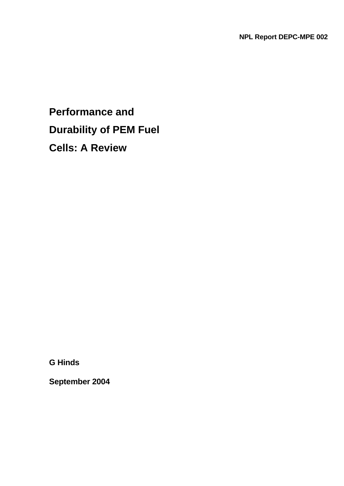# **Performance and Durability of PEM Fuel Cells: A Review**

**G Hinds** 

**September 2004**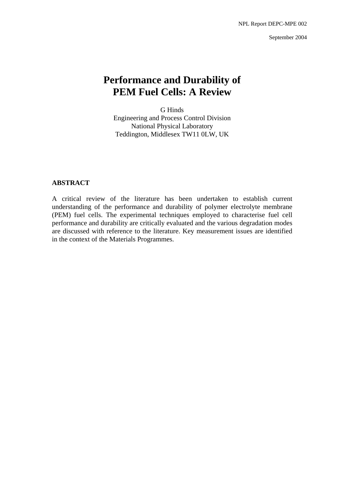September 2004

# **Performance and Durability of PEM Fuel Cells: A Review**

G Hinds Engineering and Process Control Division National Physical Laboratory Teddington, Middlesex TW11 0LW, UK

# **ABSTRACT**

A critical review of the literature has been undertaken to establish current understanding of the performance and durability of polymer electrolyte membrane (PEM) fuel cells. The experimental techniques employed to characterise fuel cell performance and durability are critically evaluated and the various degradation modes are discussed with reference to the literature. Key measurement issues are identified in the context of the Materials Programmes.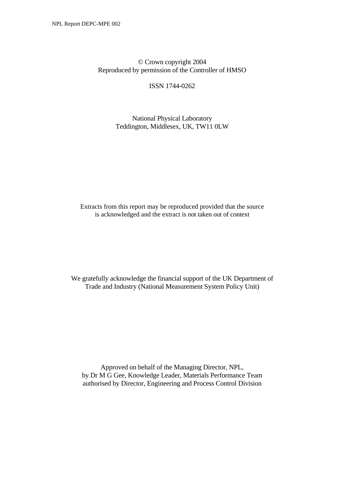© Crown copyright 2004 Reproduced by permission of the Controller of HMSO

ISSN 1744-0262

National Physical Laboratory Teddington, Middlesex, UK, TW11 0LW

Extracts from this report may be reproduced provided that the source is acknowledged and the extract is not taken out of context

We gratefully acknowledge the financial support of the UK Department of Trade and Industry (National Measurement System Policy Unit)

Approved on behalf of the Managing Director, NPL, by Dr M G Gee, Knowledge Leader, Materials Performance Team authorised by Director, Engineering and Process Control Division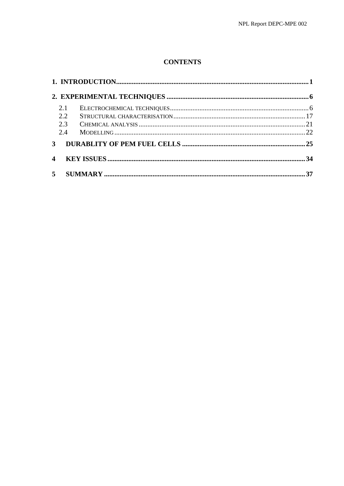# **CONTENTS**

|              | 2.1                     |  |  |
|--------------|-------------------------|--|--|
|              | 2.2                     |  |  |
|              | 2.3                     |  |  |
|              | 2.4                     |  |  |
| $\mathbf{3}$ |                         |  |  |
|              | $\overline{\mathbf{4}}$ |  |  |
|              |                         |  |  |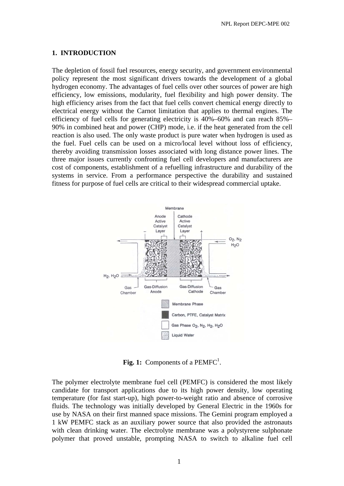#### **1. INTRODUCTION**

The depletion of fossil fuel resources, energy security, and government environmental policy represent the most significant drivers towards the development of a global hydrogen economy. The advantages of fuel cells over other sources of power are high efficiency, low emissions, modularity, fuel flexibility and high power density. The high efficiency arises from the fact that fuel cells convert chemical energy directly to electrical energy without the Carnot limitation that applies to thermal engines. The efficiency of fuel cells for generating electricity is 40%–60% and can reach 85%– 90% in combined heat and power (CHP) mode, i.e. if the heat generated from the cell reaction is also used. The only waste product is pure water when hydrogen is used as the fuel. Fuel cells can be used on a micro/local level without loss of efficiency, thereby avoiding transmission losses associated with long distance power lines. The three major issues currently confronting fuel cell developers and manufacturers are cost of components, establishment of a refuelling infrastructure and durability of the systems in service. From a performance perspective the durability and sustained fitness for purpose of fuel cells are critical to their widespread commercial uptake.



Fig. 1: Components of a PEMFC<sup>1</sup>.

The polymer electrolyte membrane fuel cell (PEMFC) is considered the most likely candidate for transport applications due to its high power density, low operating temperature (for fast start-up), high power-to-weight ratio and absence of corrosive fluids. The technology was initially developed by General Electric in the 1960s for use by NASA on their first manned space missions. The Gemini program employed a 1 kW PEMFC stack as an auxiliary power source that also provided the astronauts with clean drinking water. The electrolyte membrane was a polystyrene sulphonate polymer that proved unstable, prompting NASA to switch to alkaline fuel cell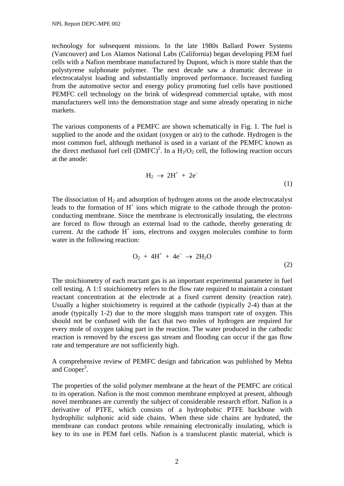technology for subsequent missions. In the late 1980s Ballard Power Systems (Vancouver) and Los Alamos National Labs (California) began developing PEM fuel cells with a Nafion membrane manufactured by Dupont, which is more stable than the polystyrene sulphonate polymer. The next decade saw a dramatic decrease in electrocatalyst loading and substantially improved performance. Increased funding from the automotive sector and energy policy promoting fuel cells have positioned PEMFC cell technology on the brink of widespread commercial uptake, with most manufacturers well into the demonstration stage and some already operating in niche markets.

The various components of a PEMFC are shown schematically in Fig. 1. The fuel is supplied to the anode and the oxidant (oxygen or air) to the cathode. Hydrogen is the most common fuel, although methanol is used in a variant of the PEMFC known as the direct methanol fuel cell  $(DMFC)^2$ . In a  $H_2/O_2$  cell, the following reaction occurs at the anode:

$$
H_2 \rightarrow 2H^+ + 2e^- \tag{1}
$$

The dissociation of  $H_2$  and adsorption of hydrogen atoms on the anode electrocatalyst leads to the formation of  $H^+$  ions which migrate to the cathode through the protonconducting membrane. Since the membrane is electronically insulating, the electrons are forced to flow through an external load to the cathode, thereby generating dc current. At the cathode  $H^+$  ions, electrons and oxygen molecules combine to form water in the following reaction:

$$
O_2 + 4H^+ + 4e^- \rightarrow 2H_2O
$$
 (2)

The stoichiometry of each reactant gas is an important experimental parameter in fuel cell testing. A 1:1 stoichiometry refers to the flow rate required to maintain a constant reactant concentration at the electrode at a fixed current density (reaction rate). Usually a higher stoichiometry is required at the cathode (typically 2-4) than at the anode (typically 1-2) due to the more sluggish mass transport rate of oxygen. This should not be confused with the fact that two moles of hydrogen are required for every mole of oxygen taking part in the reaction. The water produced in the cathodic reaction is removed by the excess gas stream and flooding can occur if the gas flow rate and temperature are not sufficiently high.

A comprehensive review of PEMFC design and fabrication was published by Mehta and Cooper<sup>3</sup>.

The properties of the solid polymer membrane at the heart of the PEMFC are critical to its operation. Nafion is the most common membrane employed at present, although novel membranes are currently the subject of considerable research effort. Nafion is a derivative of PTFE, which consists of a hydrophobic PTFE backbone with hydrophilic sulphonic acid side chains. When these side chains are hydrated, the membrane can conduct protons while remaining electronically insulating, which is key to its use in PEM fuel cells. Nafion is a translucent plastic material, which is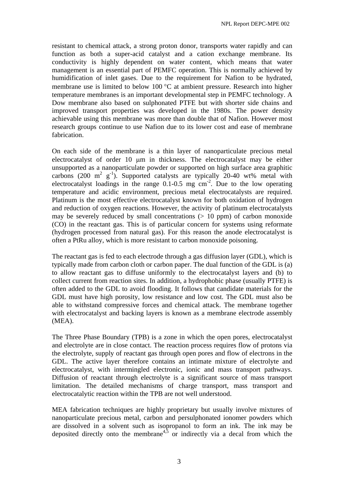resistant to chemical attack, a strong proton donor, transports water rapidly and can function as both a super-acid catalyst and a cation exchange membrane. Its conductivity is highly dependent on water content, which means that water management is an essential part of PEMFC operation. This is normally achieved by humidification of inlet gases. Due to the requirement for Nafion to be hydrated, membrane use is limited to below 100 °C at ambient pressure. Research into higher temperature membranes is an important developmental step in PEMFC technology. A Dow membrane also based on sulphonated PTFE but with shorter side chains and improved transport properties was developed in the 1980s. The power density achievable using this membrane was more than double that of Nafion. However most research groups continue to use Nafion due to its lower cost and ease of membrane fabrication.

On each side of the membrane is a thin layer of nanoparticulate precious metal electrocatalyst of order 10 µm in thickness. The electrocatalyst may be either unsupported as a nanoparticulate powder or supported on high surface area graphitic carbons (200  $\text{m}^2$  g<sup>-1</sup>). Supported catalysts are typically 20-40 wt% metal with electrocatalyst loadings in the range  $0.1$ -0.5 mg cm<sup>-2</sup>. Due to the low operating temperature and acidic environment, precious metal electrocatalysts are required. Platinum is the most effective electrocatalyst known for both oxidation of hydrogen and reduction of oxygen reactions. However, the activity of platinum electrocatalysts may be severely reduced by small concentrations  $(> 10 \text{ ppm})$  of carbon monoxide (CO) in the reactant gas. This is of particular concern for systems using reformate (hydrogen processed from natural gas). For this reason the anode electrocatalyst is often a PtRu alloy, which is more resistant to carbon monoxide poisoning.

The reactant gas is fed to each electrode through a gas diffusion layer (GDL), which is typically made from carbon cloth or carbon paper. The dual function of the GDL is (a) to allow reactant gas to diffuse uniformly to the electrocatalyst layers and (b) to collect current from reaction sites. In addition, a hydrophobic phase (usually PTFE) is often added to the GDL to avoid flooding. It follows that candidate materials for the GDL must have high porosity, low resistance and low cost. The GDL must also be able to withstand compressive forces and chemical attack. The membrane together with electrocatalyst and backing layers is known as a membrane electrode assembly (MEA).

The Three Phase Boundary (TPB) is a zone in which the open pores, electrocatalyst and electrolyte are in close contact. The reaction process requires flow of protons via the electrolyte, supply of reactant gas through open pores and flow of electrons in the GDL. The active layer therefore contains an intimate mixture of electrolyte and electrocatalyst, with intermingled electronic, ionic and mass transport pathways. Diffusion of reactant through electrolyte is a significant source of mass transport limitation. The detailed mechanisms of charge transport, mass transport and electrocatalytic reaction within the TPB are not well understood.

MEA fabrication techniques are highly proprietary but usually involve mixtures of nanoparticulate precious metal, carbon and persulphonated ionomer powders which are dissolved in a solvent such as isopropanol to form an ink. The ink may be deposited directly onto the membrane<sup>4,5</sup> or indirectly via a decal from which the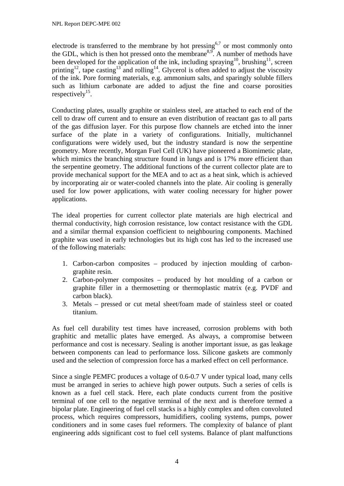electrode is transferred to the membrane by hot pressing<sup>6,7</sup> or most commonly onto the GDL, which is then hot pressed onto the membrane<sup>8,9</sup>. A number of methods have been developed for the application of the ink, including spraying<sup>10</sup>, brushing<sup>11</sup>, screen printing<sup>12</sup>, tape casting<sup>13</sup> and rolling<sup>14</sup>. Glycerol is often added to adjust the viscosity of the ink. Pore forming materials, e.g. ammonium salts, and sparingly soluble fillers such as lithium carbonate are added to adjust the fine and coarse porosities respectively<sup>15</sup>.

Conducting plates, usually graphite or stainless steel, are attached to each end of the cell to draw off current and to ensure an even distribution of reactant gas to all parts of the gas diffusion layer. For this purpose flow channels are etched into the inner surface of the plate in a variety of configurations. Initially, multichannel configurations were widely used, but the industry standard is now the serpentine geometry. More recently, Morgan Fuel Cell (UK) have pioneered a Biomimetic plate, which mimics the branching structure found in lungs and is 17% more efficient than the serpentine geometry. The additional functions of the current collector plate are to provide mechanical support for the MEA and to act as a heat sink, which is achieved by incorporating air or water-cooled channels into the plate. Air cooling is generally used for low power applications, with water cooling necessary for higher power applications.

The ideal properties for current collector plate materials are high electrical and thermal conductivity, high corrosion resistance, low contact resistance with the GDL and a similar thermal expansion coefficient to neighbouring components. Machined graphite was used in early technologies but its high cost has led to the increased use of the following materials:

- 1. Carbon-carbon composites produced by injection moulding of carbongraphite resin.
- 2. Carbon-polymer composites produced by hot moulding of a carbon or graphite filler in a thermosetting or thermoplastic matrix (e.g. PVDF and carbon black).
- 3. Metals pressed or cut metal sheet/foam made of stainless steel or coated titanium.

As fuel cell durability test times have increased, corrosion problems with both graphitic and metallic plates have emerged. As always, a compromise between performance and cost is necessary. Sealing is another important issue, as gas leakage between components can lead to performance loss. Silicone gaskets are commonly used and the selection of compression force has a marked effect on cell performance.

Since a single PEMFC produces a voltage of 0.6-0.7 V under typical load, many cells must be arranged in series to achieve high power outputs. Such a series of cells is known as a fuel cell stack. Here, each plate conducts current from the positive terminal of one cell to the negative terminal of the next and is therefore termed a bipolar plate. Engineering of fuel cell stacks is a highly complex and often convoluted process, which requires compressors, humidifiers, cooling systems, pumps, power conditioners and in some cases fuel reformers. The complexity of balance of plant engineering adds significant cost to fuel cell systems. Balance of plant malfunctions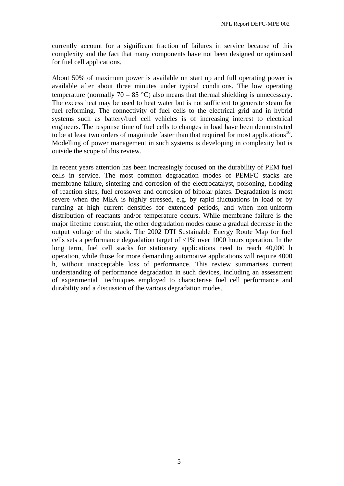currently account for a significant fraction of failures in service because of this complexity and the fact that many components have not been designed or optimised for fuel cell applications.

About 50% of maximum power is available on start up and full operating power is available after about three minutes under typical conditions. The low operating temperature (normally 70 – 85 °C) also means that thermal shielding is unnecessary. The excess heat may be used to heat water but is not sufficient to generate steam for fuel reforming. The connectivity of fuel cells to the electrical grid and in hybrid systems such as battery/fuel cell vehicles is of increasing interest to electrical engineers. The response time of fuel cells to changes in load have been demonstrated to be at least two orders of magnitude faster than that required for most applications<sup>16</sup>. Modelling of power management in such systems is developing in complexity but is outside the scope of this review.

In recent years attention has been increasingly focused on the durability of PEM fuel cells in service. The most common degradation modes of PEMFC stacks are membrane failure, sintering and corrosion of the electrocatalyst, poisoning, flooding of reaction sites, fuel crossover and corrosion of bipolar plates. Degradation is most severe when the MEA is highly stressed, e.g. by rapid fluctuations in load or by running at high current densities for extended periods, and when non-uniform distribution of reactants and/or temperature occurs. While membrane failure is the major lifetime constraint, the other degradation modes cause a gradual decrease in the output voltage of the stack. The 2002 DTI Sustainable Energy Route Map for fuel cells sets a performance degradation target of <1% over 1000 hours operation. In the long term, fuel cell stacks for stationary applications need to reach 40,000 h operation, while those for more demanding automotive applications will require 4000 h, without unacceptable loss of performance. This review summarises current understanding of performance degradation in such devices, including an assessment of experimental techniques employed to characterise fuel cell performance and durability and a discussion of the various degradation modes.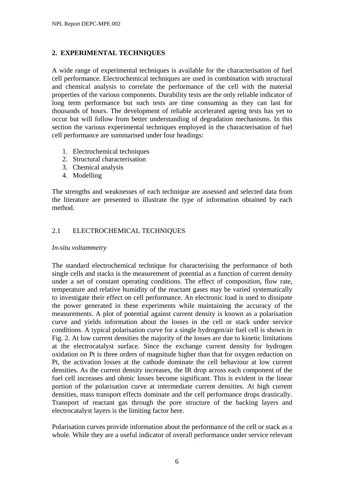# **2. EXPERIMENTAL TECHNIQUES**

A wide range of experimental techniques is available for the characterisation of fuel cell performance. Electrochemical techniques are used in combination with structural and chemical analysis to correlate the performance of the cell with the material properties of the various components. Durability tests are the only reliable indicator of long term performance but such tests are time consuming as they can last for thousands of hours. The development of reliable accelerated ageing tests has yet to occur but will follow from better understanding of degradation mechanisms. In this section the various experimental techniques employed in the characterisation of fuel cell performance are summarised under four headings:

- 1. Electrochemical techniques
- 2. Structural characterisation
- 3. Chemical analysis
- 4. Modelling

The strengths and weaknesses of each technique are assessed and selected data from the literature are presented to illustrate the type of information obtained by each method.

# 2.1 ELECTROCHEMICAL TECHNIQUES

#### *In-situ voltammetry*

The standard electrochemical technique for characterising the performance of both single cells and stacks is the measurement of potential as a function of current density under a set of constant operating conditions. The effect of composition, flow rate, temperature and relative humidity of the reactant gases may be varied systematically to investigate their effect on cell performance. An electronic load is used to dissipate the power generated in these experiments while maintaining the accuracy of the measurements. A plot of potential against current density is known as a polarisation curve and yields information about the losses in the cell or stack under service conditions. A typical polarisation curve for a single hydrogen/air fuel cell is shown in Fig. 2. At low current densities the majority of the losses are due to kinetic limitations at the electrocatalyst surface. Since the exchange current density for hydrogen oxidation on Pt is three orders of magnitude higher than that for oxygen reduction on Pt, the activation losses at the cathode dominate the cell behaviour at low current densities. As the current density increases, the IR drop across each component of the fuel cell increases and ohmic losses become significant. This is evident in the linear portion of the polarisation curve at intermediate current densities. At high current densities, mass transport effects dominate and the cell performance drops drastically. Transport of reactant gas through the pore structure of the backing layers and electrocatalyst layers is the limiting factor here.

Polarisation curves provide information about the performance of the cell or stack as a whole. While they are a useful indicator of overall performance under service relevant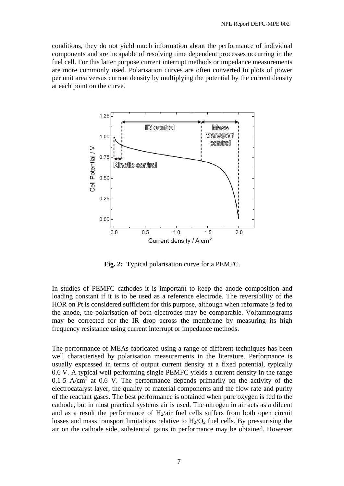conditions, they do not yield much information about the performance of individual components and are incapable of resolving time dependent processes occurring in the fuel cell. For this latter purpose current interrupt methods or impedance measurements are more commonly used. Polarisation curves are often converted to plots of power per unit area versus current density by multiplying the potential by the current density at each point on the curve.



**Fig. 2:** Typical polarisation curve for a PEMFC.

In studies of PEMFC cathodes it is important to keep the anode composition and loading constant if it is to be used as a reference electrode. The reversibility of the HOR on Pt is considered sufficient for this purpose, although when reformate is fed to the anode, the polarisation of both electrodes may be comparable. Voltammograms may be corrected for the IR drop across the membrane by measuring its high frequency resistance using current interrupt or impedance methods.

The performance of MEAs fabricated using a range of different techniques has been well characterised by polarisation measurements in the literature. Performance is usually expressed in terms of output current density at a fixed potential, typically 0.6 V. A typical well performing single PEMFC yields a current density in the range  $0.1$ -5 A/cm<sup>2</sup> at 0.6 V. The performance depends primarily on the activity of the electrocatalyst layer, the quality of material components and the flow rate and purity of the reactant gases. The best performance is obtained when pure oxygen is fed to the cathode, but in most practical systems air is used. The nitrogen in air acts as a diluent and as a result the performance of  $H_2$ /air fuel cells suffers from both open circuit losses and mass transport limitations relative to  $H_2/O_2$  fuel cells. By pressurising the air on the cathode side, substantial gains in performance may be obtained. However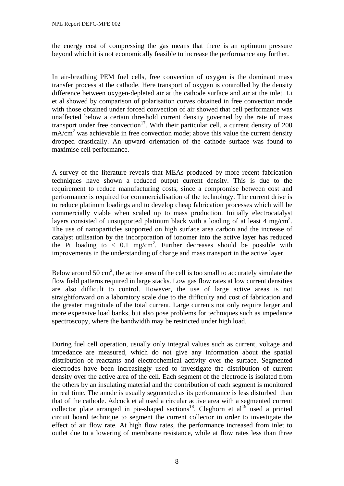the energy cost of compressing the gas means that there is an optimum pressure beyond which it is not economically feasible to increase the performance any further.

In air-breathing PEM fuel cells, free convection of oxygen is the dominant mass transfer process at the cathode. Here transport of oxygen is controlled by the density difference between oxygen-depleted air at the cathode surface and air at the inlet. Li et al showed by comparison of polarisation curves obtained in free convection mode with those obtained under forced convection of air showed that cell performance was unaffected below a certain threshold current density governed by the rate of mass transport under free convection<sup>17</sup>. With their particular cell, a current density of 200 mA/cm<sup>2</sup> was achievable in free convection mode; above this value the current density dropped drastically. An upward orientation of the cathode surface was found to maximise cell performance.

A survey of the literature reveals that MEAs produced by more recent fabrication techniques have shown a reduced output current density. This is due to the requirement to reduce manufacturing costs, since a compromise between cost and performance is required for commercialisation of the technology. The current drive is to reduce platinum loadings and to develop cheap fabrication processes which will be commercially viable when scaled up to mass production. Initially electrocatalyst layers consisted of unsupported platinum black with a loading of at least 4 mg/cm<sup>2</sup>. The use of nanoparticles supported on high surface area carbon and the increase of catalyst utilisation by the incorporation of ionomer into the active layer has reduced the Pt loading to  $< 0.1$  mg/cm<sup>2</sup>. Further decreases should be possible with improvements in the understanding of charge and mass transport in the active layer.

Below around 50 cm<sup>2</sup>, the active area of the cell is too small to accurately simulate the flow field patterns required in large stacks. Low gas flow rates at low current densities are also difficult to control. However, the use of large active areas is not straightforward on a laboratory scale due to the difficulty and cost of fabrication and the greater magnitude of the total current. Large currents not only require larger and more expensive load banks, but also pose problems for techniques such as impedance spectroscopy, where the bandwidth may be restricted under high load.

During fuel cell operation, usually only integral values such as current, voltage and impedance are measured, which do not give any information about the spatial distribution of reactants and electrochemical activity over the surface. Segmented electrodes have been increasingly used to investigate the distribution of current density over the active area of the cell. Each segment of the electrode is isolated from the others by an insulating material and the contribution of each segment is monitored in real time. The anode is usually segmented as its performance is less disturbed than that of the cathode. Adcock et al used a circular active area with a segmented current collector plate arranged in pie-shaped sections<sup>18</sup>. Cleghorn et al<sup>19</sup> used a printed circuit board technique to segment the current collector in order to investigate the effect of air flow rate. At high flow rates, the performance increased from inlet to outlet due to a lowering of membrane resistance, while at flow rates less than three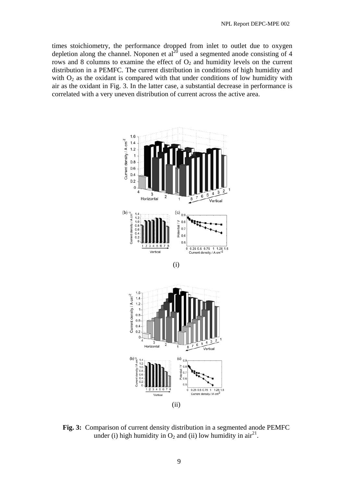times stoichiometry, the performance dropped from inlet to outlet due to oxygen depletion along the channel. Noponen et  $al^{20}$  used a segmented anode consisting of 4 rows and 8 columns to examine the effect of  $O_2$  and humidity levels on the current distribution in a PEMFC. The current distribution in conditions of high humidity and with  $O_2$  as the oxidant is compared with that under conditions of low humidity with air as the oxidant in Fig. 3. In the latter case, a substantial decrease in performance is correlated with a very uneven distribution of current across the active area.



**Fig. 3:** Comparison of current density distribution in a segmented anode PEMFC under (i) high humidity in  $O_2$  and (ii) low humidity in air<sup>21</sup>.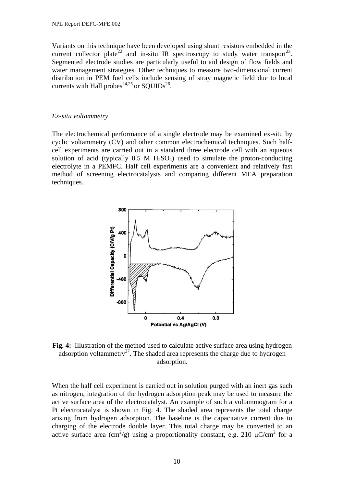Variants on this technique have been developed using shunt resistors embedded in the current collector plate<sup>22</sup> and in-situ IR spectroscopy to study water transport<sup>23</sup>. Segmented electrode studies are particularly useful to aid design of flow fields and water management strategies. Other techniques to measure two-dimensional current distribution in PEM fuel cells include sensing of stray magnetic field due to local currents with Hall probes<sup>24,25</sup> or SOUIDs<sup>26</sup>.

#### *Ex-situ voltammetry*

The electrochemical performance of a single electrode may be examined ex-situ by cyclic voltammetry (CV) and other common electrochemical techniques. Such halfcell experiments are carried out in a standard three electrode cell with an aqueous solution of acid (typically  $0.5$  M H<sub>2</sub>SO<sub>4</sub>) used to simulate the proton-conducting electrolyte in a PEMFC. Half cell experiments are a convenient and relatively fast method of screening electrocatalysts and comparing different MEA preparation techniques.



**Fig. 4:** Illustration of the method used to calculate active surface area using hydrogen adsorption voltammetry<sup>27</sup>. The shaded area represents the charge due to hydrogen adsorption.

When the half cell experiment is carried out in solution purged with an inert gas such as nitrogen, integration of the hydrogen adsorption peak may be used to measure the active surface area of the electrocatalyst. An example of such a voltammogram for a Pt electrocatalyst is shown in Fig. 4. The shaded area represents the total charge arising from hydrogen adsorption. The baseline is the capacitative current due to charging of the electrode double layer. This total charge may be converted to an active surface area  $\text{(cm}^2/\text{g})$  using a proportionality constant, e.g. 210  $\mu\text{C/cm}^2$  for a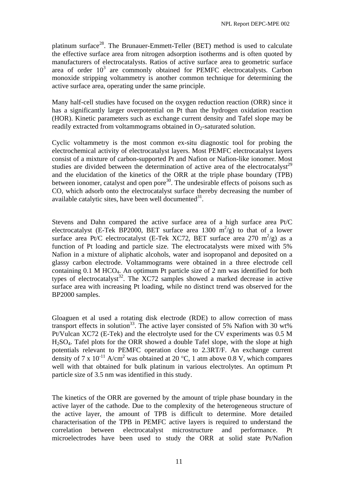platinum surface<sup>28</sup>. The Brunauer-Emmett-Teller (BET) method is used to calculate the effective surface area from nitrogen adsorption isotherms and is often quoted by manufacturers of electrocatalysts. Ratios of active surface area to geometric surface area of order  $10<sup>3</sup>$  are commonly obtained for PEMFC electrocatalysts. Carbon monoxide stripping voltammetry is another common technique for determining the active surface area, operating under the same principle.

Many half-cell studies have focused on the oxygen reduction reaction (ORR) since it has a significantly larger overpotential on Pt than the hydrogen oxidation reaction (HOR). Kinetic parameters such as exchange current density and Tafel slope may be readily extracted from voltammograms obtained in  $O<sub>2</sub>$ -saturated solution.

Cyclic voltammetry is the most common ex-situ diagnostic tool for probing the electrochemical activity of electrocatalyst layers. Most PEMFC electrocatalyst layers consist of a mixture of carbon-supported Pt and Nafion or Nafion-like ionomer. Most studies are divided between the determination of active area of the electrocatalyst<sup>29</sup> and the elucidation of the kinetics of the ORR at the triple phase boundary (TPB) between ionomer, catalyst and open pore<sup>30</sup>. The undesirable effects of poisons such as CO, which adsorb onto the electrocatalyst surface thereby decreasing the number of available catalytic sites, have been well documented  $31$ .

Stevens and Dahn compared the active surface area of a high surface area Pt/C electrocatalyst (E-Tek BP2000, BET surface area 1300  $m^2/g$ ) to that of a lower surface area Pt/C electrocatalyst (E-Tek XC72, BET surface area 270 m<sup>2</sup>/g) as a function of Pt loading and particle size. The electrocatalysts were mixed with 5% Nafion in a mixture of aliphatic alcohols, water and isopropanol and deposited on a glassy carbon electrode. Voltammograms were obtained in a three electrode cell containing  $0.1$  M HCO<sub>4</sub>. An optimum Pt particle size of 2 nm was identified for both types of electrocatalyst<sup>32</sup>. The XC72 samples showed a marked decrease in active surface area with increasing Pt loading, while no distinct trend was observed for the BP2000 samples.

Gloaguen et al used a rotating disk electrode (RDE) to allow correction of mass transport effects in solution<sup>33</sup>. The active layer consisted of 5% Nafion with 30 wt% Pt/Vulcan XC72 (E-Tek) and the electrolyte used for the CV experiments was 0.5 M H2SO4. Tafel plots for the ORR showed a double Tafel slope, with the slope at high potentials relevant to PEMFC operation close to 2.3RT/F. An exchange current density of 7 x  $10^{-11}$  A/cm<sup>2</sup> was obtained at 20 °C, 1 atm above 0.8 V, which compares well with that obtained for bulk platinum in various electrolytes. An optimum Pt particle size of 3.5 nm was identified in this study.

The kinetics of the ORR are governed by the amount of triple phase boundary in the active layer of the cathode. Due to the complexity of the heterogeneous structure of the active layer, the amount of TPB is difficult to determine. More detailed characterisation of the TPB in PEMFC active layers is required to understand the correlation between electrocatalyst microstructure and performance. Pt microelectrodes have been used to study the ORR at solid state Pt/Nafion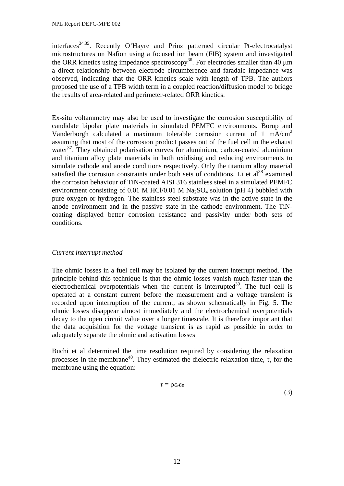interfaces<sup>34,35</sup>. Recently O'Hayre and Prinz patterned circular Pt-electrocatalyst microstructures on Nafion using a focused ion beam (FIB) system and investigated the ORR kinetics using impedance spectroscopy<sup>36</sup>. For electrodes smaller than 40  $\mu$ m a direct relationship between electrode circumference and faradaic impedance was observed, indicating that the ORR kinetics scale with length of TPB. The authors proposed the use of a TPB width term in a coupled reaction/diffusion model to bridge the results of area-related and perimeter-related ORR kinetics.

Ex-situ voltammetry may also be used to investigate the corrosion susceptibility of candidate bipolar plate materials in simulated PEMFC environments. Borup and Vanderborgh calculated a maximum tolerable corrosion current of 1 mA/cm<sup>2</sup> assuming that most of the corrosion product passes out of the fuel cell in the exhaust water $37$ . They obtained polarisation curves for aluminium, carbon-coated aluminium and titanium alloy plate materials in both oxidising and reducing environments to simulate cathode and anode conditions respectively. Only the titanium alloy material satisfied the corrosion constraints under both sets of conditions. Li et  $al^{38}$  examined the corrosion behaviour of TiN-coated AISI 316 stainless steel in a simulated PEMFC environment consisting of 0.01 M HCl/0.01 M  $Na<sub>2</sub>SO<sub>4</sub>$  solution (pH 4) bubbled with pure oxygen or hydrogen. The stainless steel substrate was in the active state in the anode environment and in the passive state in the cathode environment. The TiNcoating displayed better corrosion resistance and passivity under both sets of conditions.

# *Current interrupt method*

The ohmic losses in a fuel cell may be isolated by the current interrupt method. The principle behind this technique is that the ohmic losses vanish much faster than the electrochemical overpotentials when the current is interrupted<sup>39</sup>. The fuel cell is operated at a constant current before the measurement and a voltage transient is recorded upon interruption of the current, as shown schematically in Fig. 5. The ohmic losses disappear almost immediately and the electrochemical overpotentials decay to the open circuit value over a longer timescale. It is therefore important that the data acquisition for the voltage transient is as rapid as possible in order to adequately separate the ohmic and activation losses

Buchi et al determined the time resolution required by considering the relaxation processes in the membrane<sup>40</sup>. They estimated the dielectric relaxation time, τ, for the membrane using the equation:

$$
\tau = \rho \varepsilon_r \varepsilon_0 \tag{3}
$$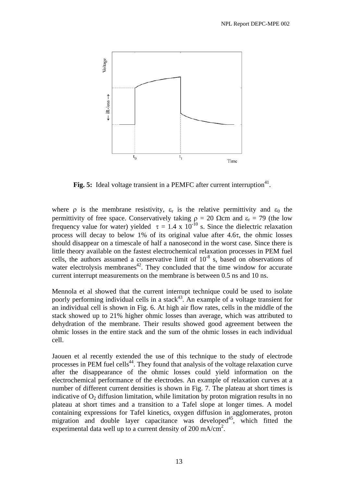

**Fig. 5:** Ideal voltage transient in a PEMFC after current interruption<sup>41</sup>.

where  $\rho$  is the membrane resistivity,  $\varepsilon_r$  is the relative permittivity and  $\varepsilon_0$  the permittivity of free space. Conservatively taking  $\rho = 20 \Omega$ cm and  $\varepsilon_r = 79$  (the low frequency value for water) yielded  $\tau = 1.4 \times 10^{-10}$  s. Since the dielectric relaxation process will decay to below 1% of its original value after 4.6τ, the ohmic losses should disappear on a timescale of half a nanosecond in the worst case. Since there is little theory available on the fastest electrochemical relaxation processes in PEM fuel cells, the authors assumed a conservative limit of  $10^{-8}$  s, based on observations of water electrolysis membranes $42$ . They concluded that the time window for accurate current interrupt measurements on the membrane is between 0.5 ns and 10 ns.

Mennola et al showed that the current interrupt technique could be used to isolate poorly performing individual cells in a stack<sup>43</sup>. An example of a voltage transient for an individual cell is shown in Fig. 6. At high air flow rates, cells in the middle of the stack showed up to 21% higher ohmic losses than average, which was attributed to dehydration of the membrane. Their results showed good agreement between the ohmic losses in the entire stack and the sum of the ohmic losses in each individual cell.

Jaouen et al recently extended the use of this technique to the study of electrode processes in PEM fuel cells<sup>44</sup>. They found that analysis of the voltage relaxation curve after the disappearance of the ohmic losses could yield information on the electrochemical performance of the electrodes. An example of relaxation curves at a number of different current densities is shown in Fig. 7. The plateau at short times is indicative of  $O<sub>2</sub>$  diffusion limitation, while limitation by proton migration results in no plateau at short times and a transition to a Tafel slope at longer times. A model containing expressions for Tafel kinetics, oxygen diffusion in agglomerates, proton migration and double layer capacitance was developed<sup>45</sup>, which fitted the experimental data well up to a current density of 200 mA/cm<sup>2</sup>.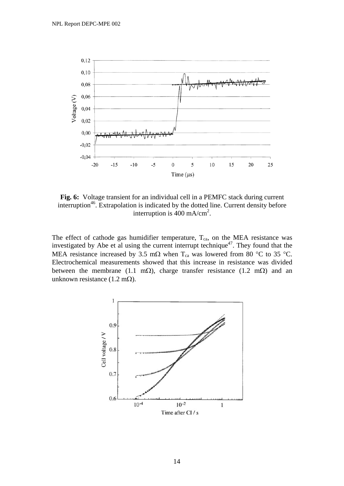

**Fig. 6:** Voltage transient for an individual cell in a PEMFC stack during current interruption<sup>46</sup>. Extrapolation is indicated by the dotted line. Current density before interruption is  $400 \text{ mA/cm}^2$ .

The effect of cathode gas humidifier temperature,  $T_{ca}$ , on the MEA resistance was investigated by Abe et al using the current interrupt technique<sup>47</sup>. They found that the MEA resistance increased by 3.5 m $\Omega$  when T<sub>ca</sub> was lowered from 80 °C to 35 °C. Electrochemical measurements showed that this increase in resistance was divided between the membrane (1.1 mΩ), charge transfer resistance (1.2 mΩ) and an unknown resistance (1.2 m $\Omega$ ).

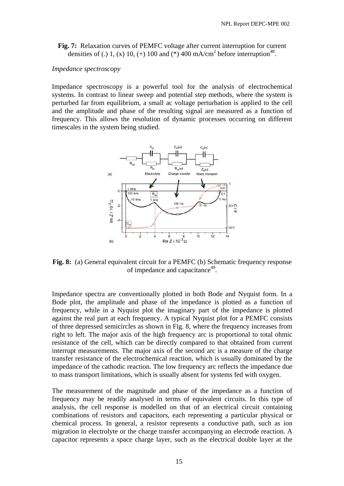**Fig. 7:** Relaxation curves of PEMFC voltage after current interruption for current densities of (.) 1, (x) 10, (+) 100 and (\*) 400 mA/cm<sup>2</sup> before interruption<sup>48</sup>.

#### *Impedance spectroscopy*

Impedance spectroscopy is a powerful tool for the analysis of electrochemical systems. In contrast to linear sweep and potential step methods, where the system is perturbed far from equilibrium, a small ac voltage perturbation is applied to the cell and the amplitude and phase of the resulting signal are measured as a function of frequency. This allows the resolution of dynamic processes occurring on different timescales in the system being studied.



**Fig. 8:** (a) General equivalent circuit for a PEMFC (b) Schematic frequency response of impedance and capacitance<sup>49</sup>.

Impedance spectra are conventionally plotted in both Bode and Nyquist form. In a Bode plot, the amplitude and phase of the impedance is plotted as a function of frequency, while in a Nyquist plot the imaginary part of the impedance is plotted against the real part at each frequency. A typical Nyquist plot for a PEMFC consists of three depressed semicircles as shown in Fig. 8, where the frequency increases from right to left. The major axis of the high frequency arc is proportional to total ohmic resistance of the cell, which can be directly compared to that obtained from current interrupt measurements. The major axis of the second arc is a measure of the charge transfer resistance of the electrochemical reaction, which is usually dominated by the impedance of the cathodic reaction. The low frequency arc reflects the impedance due to mass transport limitations, which is usually absent for systems fed with oxygen.

The measurement of the magnitude and phase of the impedance as a function of frequency may be readily analysed in terms of equivalent circuits. In this type of analysis, the cell response is modelled on that of an electrical circuit containing combinations of resistors and capacitors, each representing a particular physical or chemical process. In general, a resistor represents a conductive path, such as ion migration in electrolyte or the charge transfer accompanying an electrode reaction. A capacitor represents a space charge layer, such as the electrical double layer at the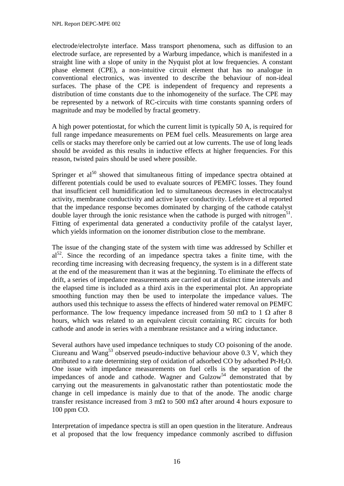electrode/electrolyte interface. Mass transport phenomena, such as diffusion to an electrode surface, are represented by a Warburg impedance, which is manifested in a straight line with a slope of unity in the Nyquist plot at low frequencies. A constant phase element (CPE), a non-intuitive circuit element that has no analogue in conventional electronics, was invented to describe the behaviour of non-ideal surfaces. The phase of the CPE is independent of frequency and represents a distribution of time constants due to the inhomogeneity of the surface. The CPE may be represented by a network of RC-circuits with time constants spanning orders of magnitude and may be modelled by fractal geometry.

A high power potentiostat, for which the current limit is typically 50 A, is required for full range impedance measurements on PEM fuel cells. Measurements on large area cells or stacks may therefore only be carried out at low currents. The use of long leads should be avoided as this results in inductive effects at higher frequencies. For this reason, twisted pairs should be used where possible.

Springer et  $al<sup>50</sup>$  showed that simultaneous fitting of impedance spectra obtained at different potentials could be used to evaluate sources of PEMFC losses. They found that insufficient cell humidification led to simultaneous decreases in electrocatalyst activity, membrane conductivity and active layer conductivity. Lefebvre et al reported that the impedance response becomes dominated by charging of the cathode catalyst double layer through the ionic resistance when the cathode is purged with nitrogen<sup>51</sup>. Fitting of experimental data generated a conductivity profile of the catalyst layer, which yields information on the ionomer distribution close to the membrane.

The issue of the changing state of the system with time was addressed by Schiller et  $a^{\frac{52}{2}}$ . Since the recording of an impedance spectra takes a finite time, with the recording time increasing with decreasing frequency, the system is in a different state at the end of the measurement than it was at the beginning. To eliminate the effects of drift, a series of impedance measurements are carried out at distinct time intervals and the elapsed time is included as a third axis in the experimental plot. An appropriate smoothing function may then be used to interpolate the impedance values. The authors used this technique to assess the effects of hindered water removal on PEMFC performance. The low frequency impedance increased from 50 m $\Omega$  to 1  $\Omega$  after 8 hours, which was related to an equivalent circuit containing RC circuits for both cathode and anode in series with a membrane resistance and a wiring inductance.

Several authors have used impedance techniques to study CO poisoning of the anode. Ciureanu and Wang<sup>53</sup> observed pseudo-inductive behaviour above  $0.3 \text{ V}$ , which they attributed to a rate determining step of oxidation of adsorbed CO by adsorbed Pt-H<sub>2</sub>O. One issue with impedance measurements on fuel cells is the separation of the impedances of anode and cathode. Wagner and  $Gulzow<sup>54</sup>$  demonstrated that by carrying out the measurements in galvanostatic rather than potentiostatic mode the change in cell impedance is mainly due to that of the anode. The anodic charge transfer resistance increased from 3 mΩ to 500 mΩ after around 4 hours exposure to 100 ppm CO.

Interpretation of impedance spectra is still an open question in the literature. Andreaus et al proposed that the low frequency impedance commonly ascribed to diffusion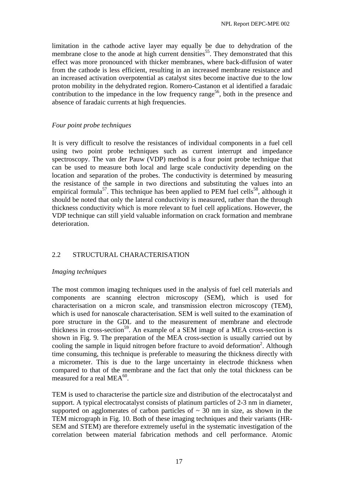limitation in the cathode active layer may equally be due to dehydration of the membrane close to the anode at high current densities<sup>55</sup>. They demonstrated that this effect was more pronounced with thicker membranes, where back-diffusion of water from the cathode is less efficient, resulting in an increased membrane resistance and an increased activation overpotential as catalyst sites become inactive due to the low proton mobility in the dehydrated region. Romero-Castanon et al identified a faradaic contribution to the impedance in the low frequency range<sup>56</sup>, both in the presence and absence of faradaic currents at high frequencies.

#### *Four point probe techniques*

It is very difficult to resolve the resistances of individual components in a fuel cell using two point probe techniques such as current interrupt and impedance spectroscopy. The van der Pauw (VDP) method is a four point probe technique that can be used to measure both local and large scale conductivity depending on the location and separation of the probes. The conductivity is determined by measuring the resistance of the sample in two directions and substituting the values into an empirical formula<sup>57</sup>. This technique has been applied to PEM fuel cells<sup>58</sup>, although it should be noted that only the lateral conductivity is measured, rather than the through thickness conductivity which is more relevant to fuel cell applications. However, the VDP technique can still yield valuable information on crack formation and membrane deterioration.

# 2.2 STRUCTURAL CHARACTERISATION

#### *Imaging techniques*

The most common imaging techniques used in the analysis of fuel cell materials and components are scanning electron microscopy (SEM), which is used for characterisation on a micron scale, and transmission electron microscopy (TEM), which is used for nanoscale characterisation. SEM is well suited to the examination of pore structure in the GDL and to the measurement of membrane and electrode thickness in cross-section<sup>59</sup>. An example of a SEM image of a MEA cross-section is shown in Fig. 9. The preparation of the MEA cross-section is usually carried out by cooling the sample in liquid nitrogen before fracture to avoid deformation<sup>2</sup>. Although time consuming, this technique is preferable to measuring the thickness directly with a micrometer. This is due to the large uncertainty in electrode thickness when compared to that of the membrane and the fact that only the total thickness can be measured for a real ME $A^{60}$ .

TEM is used to characterise the particle size and distribution of the electrocatalyst and support. A typical electrocatalyst consists of platinum particles of 2-3 nm in diameter, supported on agglomerates of carbon particles of  $\sim$  30 nm in size, as shown in the TEM micrograph in Fig. 10. Both of these imaging techniques and their variants (HR-SEM and STEM) are therefore extremely useful in the systematic investigation of the correlation between material fabrication methods and cell performance. Atomic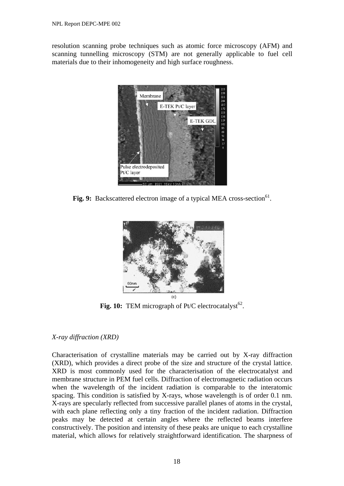resolution scanning probe techniques such as atomic force microscopy (AFM) and scanning tunnelling microscopy (STM) are not generally applicable to fuel cell materials due to their inhomogeneity and high surface roughness.



**Fig. 9:** Backscattered electron image of a typical MEA cross-section<sup>61</sup>.



**Fig. 10:** TEM micrograph of Pt/C electrocatalyst<sup>62</sup>.

#### *X-ray diffraction (XRD)*

Characterisation of crystalline materials may be carried out by X-ray diffraction (XRD), which provides a direct probe of the size and structure of the crystal lattice. XRD is most commonly used for the characterisation of the electrocatalyst and membrane structure in PEM fuel cells. Diffraction of electromagnetic radiation occurs when the wavelength of the incident radiation is comparable to the interatomic spacing. This condition is satisfied by X-rays, whose wavelength is of order 0.1 nm. X-rays are specularly reflected from successive parallel planes of atoms in the crystal, with each plane reflecting only a tiny fraction of the incident radiation. Diffraction peaks may be detected at certain angles where the reflected beams interfere constructively. The position and intensity of these peaks are unique to each crystalline material, which allows for relatively straightforward identification. The sharpness of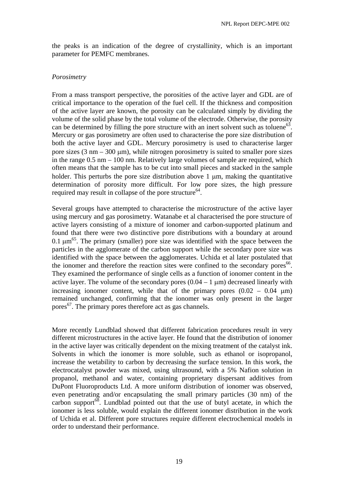the peaks is an indication of the degree of crystallinity, which is an important parameter for PEMFC membranes.

#### *Porosimetry*

From a mass transport perspective, the porosities of the active layer and GDL are of critical importance to the operation of the fuel cell. If the thickness and composition of the active layer are known, the porosity can be calculated simply by dividing the volume of the solid phase by the total volume of the electrode. Otherwise, the porosity can be determined by filling the pore structure with an inert solvent such as toluene<sup>63</sup>. Mercury or gas porosimetry are often used to characterise the pore size distribution of both the active layer and GDL. Mercury porosimetry is used to characterise larger pore sizes  $(3 \text{ nm} - 300 \text{ \mu m})$ , while nitrogen porosimetry is suited to smaller pore sizes in the range 0.5 nm – 100 nm. Relatively large volumes of sample are required, which often means that the sample has to be cut into small pieces and stacked in the sample holder. This perturbs the pore size distribution above  $1 \mu m$ , making the quantitative determination of porosity more difficult. For low pore sizes, the high pressure required may result in collapse of the pore structure<sup>64</sup>.

Several groups have attempted to characterise the microstructure of the active layer using mercury and gas porosimetry. Watanabe et al characterised the pore structure of active layers consisting of a mixture of ionomer and carbon-supported platinum and found that there were two distinctive pore distributions with a boundary at around 0.1  $\mu$ m<sup>65</sup>. The primary (smaller) pore size was identified with the space between the particles in the agglomerate of the carbon support while the secondary pore size was identified with the space between the agglomerates. Uchida et al later postulated that the ionomer and therefore the reaction sites were confined to the secondary pores<sup>66</sup>. They examined the performance of single cells as a function of ionomer content in the active layer. The volume of the secondary pores  $(0.04 - 1 \mu m)$  decreased linearly with increasing ionomer content, while that of the primary pores  $(0.02 - 0.04 \mu m)$ remained unchanged, confirming that the ionomer was only present in the larger pores<sup>67</sup>. The primary pores therefore act as gas channels.

More recently Lundblad showed that different fabrication procedures result in very different microstructures in the active layer. He found that the distribution of ionomer in the active layer was critically dependent on the mixing treatment of the catalyst ink. Solvents in which the ionomer is more soluble, such as ethanol or isopropanol, increase the wetability to carbon by decreasing the surface tension. In this work, the electrocatalyst powder was mixed, using ultrasound, with a 5% Nafion solution in propanol, methanol and water, containing proprietary dispersant additives from DuPont Fluoroproducts Ltd. A more uniform distribution of ionomer was observed, even penetrating and/or encapsulating the small primary particles (30 nm) of the carbon support $\frac{68}{68}$ . Lundblad pointed out that the use of butyl acetate, in which the ionomer is less soluble, would explain the different ionomer distribution in the work of Uchida et al. Different pore structures require different electrochemical models in order to understand their performance.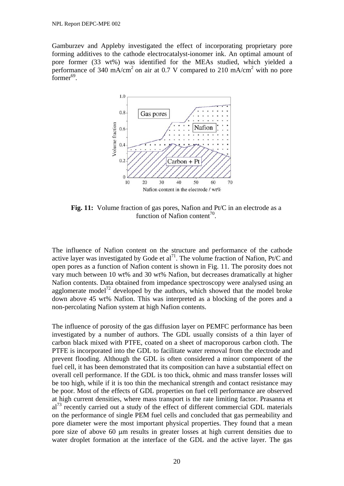Gamburzev and Appleby investigated the effect of incorporating proprietary pore forming additives to the cathode electrocatalyst-ionomer ink. An optimal amount of pore former (33 wt%) was identified for the MEAs studied, which yielded a performance of 340 mA/cm<sup>2</sup> on air at 0.7 V compared to 210 mA/cm<sup>2</sup> with no pore former $^{69}$ .



**Fig. 11:** Volume fraction of gas pores, Nafion and Pt/C in an electrode as a function of Nafion content<sup>70</sup>.

The influence of Nafion content on the structure and performance of the cathode active layer was investigated by Gode et al<sup>71</sup>. The volume fraction of Nafion, Pt/C and open pores as a function of Nafion content is shown in Fig. 11. The porosity does not vary much between 10 wt% and 30 wt% Nafion, but decreases dramatically at higher Nafion contents. Data obtained from impedance spectroscopy were analysed using an agglomerate model<sup>72</sup> developed by the authors, which showed that the model broke down above 45 wt% Nafion. This was interpreted as a blocking of the pores and a non-percolating Nafion system at high Nafion contents.

The influence of porosity of the gas diffusion layer on PEMFC performance has been investigated by a number of authors. The GDL usually consists of a thin layer of carbon black mixed with PTFE, coated on a sheet of macroporous carbon cloth. The PTFE is incorporated into the GDL to facilitate water removal from the electrode and prevent flooding. Although the GDL is often considered a minor component of the fuel cell, it has been demonstrated that its composition can have a substantial effect on overall cell performance. If the GDL is too thick, ohmic and mass transfer losses will be too high, while if it is too thin the mechanical strength and contact resistance may be poor. Most of the effects of GDL properties on fuel cell performance are observed at high current densities, where mass transport is the rate limiting factor. Prasanna et  $al^{73}$  recently carried out a study of the effect of different commercial GDL materials on the performance of single PEM fuel cells and concluded that gas permeability and pore diameter were the most important physical properties. They found that a mean pore size of above 60 µm results in greater losses at high current densities due to water droplet formation at the interface of the GDL and the active layer. The gas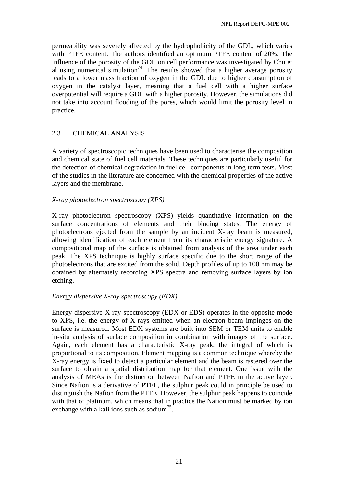permeability was severely affected by the hydrophobicity of the GDL, which varies with PTFE content. The authors identified an optimum PTFE content of 20%. The influence of the porosity of the GDL on cell performance was investigated by Chu et al using numerical simulation<sup>74</sup>. The results showed that a higher average porosity leads to a lower mass fraction of oxygen in the GDL due to higher consumption of oxygen in the catalyst layer, meaning that a fuel cell with a higher surface overpotential will require a GDL with a higher porosity. However, the simulations did not take into account flooding of the pores, which would limit the porosity level in practice.

# 2.3 CHEMICAL ANALYSIS

A variety of spectroscopic techniques have been used to characterise the composition and chemical state of fuel cell materials. These techniques are particularly useful for the detection of chemical degradation in fuel cell components in long term tests. Most of the studies in the literature are concerned with the chemical properties of the active layers and the membrane.

# *X-ray photoelectron spectroscopy (XPS)*

X-ray photoelectron spectroscopy (XPS) yields quantitative information on the surface concentrations of elements and their binding states. The energy of photoelectrons ejected from the sample by an incident X-ray beam is measured, allowing identification of each element from its characteristic energy signature. A compositional map of the surface is obtained from analysis of the area under each peak. The XPS technique is highly surface specific due to the short range of the photoelectrons that are excited from the solid. Depth profiles of up to 100 nm may be obtained by alternately recording XPS spectra and removing surface layers by ion etching.

# *Energy dispersive X-ray spectroscopy (EDX)*

Energy dispersive X-ray spectroscopy (EDX or EDS) operates in the opposite mode to XPS, i.e. the energy of X-rays emitted when an electron beam impinges on the surface is measured. Most EDX systems are built into SEM or TEM units to enable in-situ analysis of surface composition in combination with images of the surface. Again, each element has a characteristic X-ray peak, the integral of which is proportional to its composition. Element mapping is a common technique whereby the X-ray energy is fixed to detect a particular element and the beam is rastered over the surface to obtain a spatial distribution map for that element. One issue with the analysis of MEAs is the distinction between Nafion and PTFE in the active layer. Since Nafion is a derivative of PTFE, the sulphur peak could in principle be used to distinguish the Nafion from the PTFE. However, the sulphur peak happens to coincide with that of platinum, which means that in practice the Nafion must be marked by ion exchange with alkali ions such as sodium<sup>75</sup>.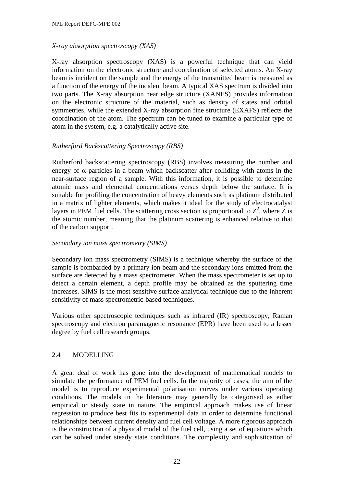# *X-ray absorption spectroscopy (XAS)*

X-ray absorption spectroscopy (XAS) is a powerful technique that can yield information on the electronic structure and coordination of selected atoms. An X-ray beam is incident on the sample and the energy of the transmitted beam is measured as a function of the energy of the incident beam. A typical XAS spectrum is divided into two parts. The X-ray absorption near edge structure (XANES) provides information on the electronic structure of the material, such as density of states and orbital symmetries, while the extended X-ray absorption fine structure (EXAFS) reflects the coordination of the atom. The spectrum can be tuned to examine a particular type of atom in the system, e.g. a catalytically active site.

# *Rutherford Backscattering Spectroscopy (RBS)*

Rutherford backscattering spectroscopy (RBS) involves measuring the number and energy of  $\alpha$ -particles in a beam which backscatter after colliding with atoms in the near-surface region of a sample. With this information, it is possible to determine atomic mass and elemental concentrations versus depth below the surface. It is suitable for profiling the concentration of heavy elements such as platinum distributed in a matrix of lighter elements, which makes it ideal for the study of electrocatalyst layers in PEM fuel cells. The scattering cross section is proportional to  $Z^2$ , where Z is the atomic number, meaning that the platinum scattering is enhanced relative to that of the carbon support.

#### *Secondary ion mass spectrometry (SIMS)*

Secondary ion mass spectrometry (SIMS) is a technique whereby the surface of the sample is bombarded by a primary ion beam and the secondary ions emitted from the surface are detected by a mass spectrometer. When the mass spectrometer is set up to detect a certain element, a depth profile may be obtained as the sputtering time increases. SIMS is the most sensitive surface analytical technique due to the inherent sensitivity of mass spectrometric-based techniques.

Various other spectroscopic techniques such as infrared (IR) spectroscopy, Raman spectroscopy and electron paramagnetic resonance (EPR) have been used to a lesser degree by fuel cell research groups.

# 2.4 MODELLING

A great deal of work has gone into the development of mathematical models to simulate the performance of PEM fuel cells. In the majority of cases, the aim of the model is to reproduce experimental polarisation curves under various operating conditions. The models in the literature may generally be categorised as either empirical or steady state in nature. The empirical approach makes use of linear regression to produce best fits to experimental data in order to determine functional relationships between current density and fuel cell voltage. A more rigorous approach is the construction of a physical model of the fuel cell, using a set of equations which can be solved under steady state conditions. The complexity and sophistication of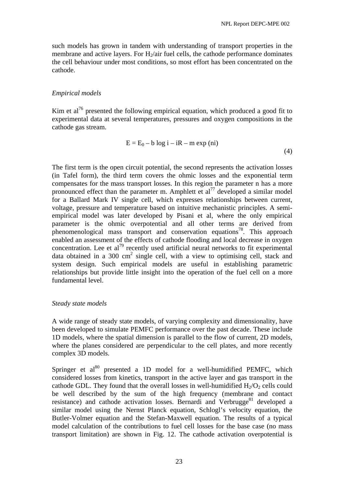such models has grown in tandem with understanding of transport properties in the membrane and active layers. For  $H_2$ /air fuel cells, the cathode performance dominates the cell behaviour under most conditions, so most effort has been concentrated on the cathode.

#### *Empirical models*

Kim et  $a^{76}$  presented the following empirical equation, which produced a good fit to experimental data at several temperatures, pressures and oxygen compositions in the cathode gas stream.

$$
E = E_0 - b \log i - iR - m \exp (ni)
$$
\n(4)

The first term is the open circuit potential, the second represents the activation losses (in Tafel form), the third term covers the ohmic losses and the exponential term compensates for the mass transport losses. In this region the parameter n has a more pronounced effect than the parameter m. Amphlett et  $al^{77}$  developed a similar model for a Ballard Mark IV single cell, which expresses relationships between current, voltage, pressure and temperature based on intuitive mechanistic principles. A semiempirical model was later developed by Pisani et al, where the only empirical parameter is the ohmic overpotential and all other terms are derived from phenomenological mass transport and conservation equations<sup>78</sup>. This approach enabled an assessment of the effects of cathode flooding and local decrease in oxygen concentration. Lee et  $al^{79}$  recently used artificial neural networks to fit experimental data obtained in a 300  $\text{cm}^2$  single cell, with a view to optimising cell, stack and system design. Such empirical models are useful in establishing parametric relationships but provide little insight into the operation of the fuel cell on a more fundamental level.

#### *Steady state models*

A wide range of steady state models, of varying complexity and dimensionality, have been developed to simulate PEMFC performance over the past decade. These include 1D models, where the spatial dimension is parallel to the flow of current, 2D models, where the planes considered are perpendicular to the cell plates, and more recently complex 3D models.

Springer et al<sup>80</sup> presented a 1D model for a well-humidified PEMFC, which considered losses from kinetics, transport in the active layer and gas transport in the cathode GDL. They found that the overall losses in well-humidified  $H_2/O_2$  cells could be well described by the sum of the high frequency (membrane and contact resistance) and cathode activation losses. Bernardi and Verbrugge<sup>81</sup> developed a similar model using the Nernst Planck equation, Schlogl's velocity equation, the Butler-Volmer equation and the Stefan-Maxwell equation. The results of a typical model calculation of the contributions to fuel cell losses for the base case (no mass transport limitation) are shown in Fig. 12. The cathode activation overpotential is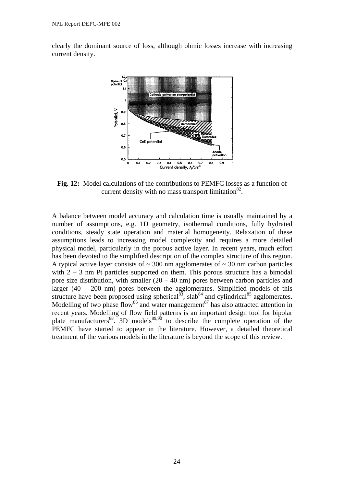clearly the dominant source of loss, although ohmic losses increase with increasing current density.



**Fig. 12:** Model calculations of the contributions to PEMFC losses as a function of current density with no mass transport limitation $^{82}$ .

A balance between model accuracy and calculation time is usually maintained by a number of assumptions, e.g. 1D geometry, isothermal conditions, fully hydrated conditions, steady state operation and material homogeneity. Relaxation of these assumptions leads to increasing model complexity and requires a more detailed physical model, particularly in the porous active layer. In recent years, much effort has been devoted to the simplified description of the complex structure of this region. A typical active layer consists of  $\sim$  300 nm agglomerates of  $\sim$  30 nm carbon particles with 2 – 3 nm Pt particles supported on them. This porous structure has a bimodal pore size distribution, with smaller  $(20 - 40)$  nm pores between carbon particles and larger (40 – 200 nm) pores between the agglomerates. Simplified models of this structure have been proposed using spherical<sup>83</sup>, slab<sup>84</sup> and cylindrical<sup>85</sup> agglomerates. Modelling of two phase flow<sup>86</sup> and water management<sup>87</sup> has also attracted attention in recent years. Modelling of flow field patterns is an important design tool for bipolar plate manufacturers<sup>88</sup>. 3D models<sup>89,90</sup> to describe the complete operation of the PEMFC have started to appear in the literature. However, a detailed theoretical treatment of the various models in the literature is beyond the scope of this review.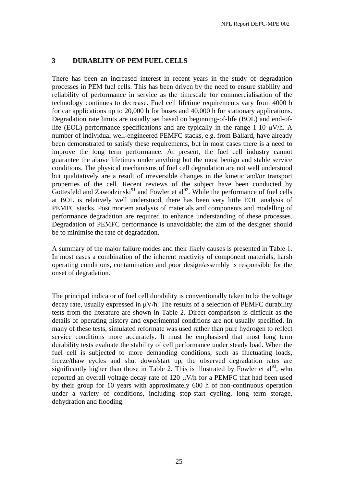# **3 DURABLITY OF PEM FUEL CELLS**

There has been an increased interest in recent years in the study of degradation processes in PEM fuel cells. This has been driven by the need to ensure stability and reliability of performance in service as the timescale for commercialisation of the technology continues to decrease. Fuel cell lifetime requirements vary from 4000 h for car applications up to 20,000 h for buses and 40,000 h for stationary applications. Degradation rate limits are usually set based on beginning-of-life (BOL) and end-oflife (EOL) performance specifications and are typically in the range 1-10 µV/h. A number of individual well-engineered PEMFC stacks, e.g. from Ballard, have already been demonstrated to satisfy these requirements, but in most cases there is a need to improve the long term performance. At present, the fuel cell industry cannot guarantee the above lifetimes under anything but the most benign and stable service conditions. The physical mechanisms of fuel cell degradation are not well understood but qualitatively are a result of irreversible changes in the kinetic and/or transport properties of the cell. Recent reviews of the subject have been conducted by Gottesfeld and Zawodzinski<sup>91</sup> and Fowler et al<sup>92</sup>. While the performance of fuel cells at BOL is relatively well understood, there has been very little EOL analysis of PEMFC stacks. Post mortem analysis of materials and components and modelling of performance degradation are required to enhance understanding of these processes. Degradation of PEMFC performance is unavoidable; the aim of the designer should be to minimise the rate of degradation.

A summary of the major failure modes and their likely causes is presented in Table 1. In most cases a combination of the inherent reactivity of component materials, harsh operating conditions, contamination and poor design/assembly is responsible for the onset of degradation.

The principal indicator of fuel cell durability is conventionally taken to be the voltage decay rate, usually expressed in  $\mu$ V/h. The results of a selection of PEMFC durability tests from the literature are shown in Table 2. Direct comparison is difficult as the details of operating history and experimental conditions are not usually specified. In many of these tests, simulated reformate was used rather than pure hydrogen to reflect service conditions more accurately. It must be emphasised that most long term durability tests evaluate the stability of cell performance under steady load. When the fuel cell is subjected to more demanding conditions, such as fluctuating loads, freeze/thaw cycles and shut down/start up, the observed degradation rates are significantly higher than those in Table 2. This is illustrated by Fowler et  $al^{93}$ , who reported an overall voltage decay rate of 120  $\mu$ V/h for a PEMFC that had been used by their group for 10 years with approximately 600 h of non-continuous operation under a variety of conditions, including stop-start cycling, long term storage, dehydration and flooding.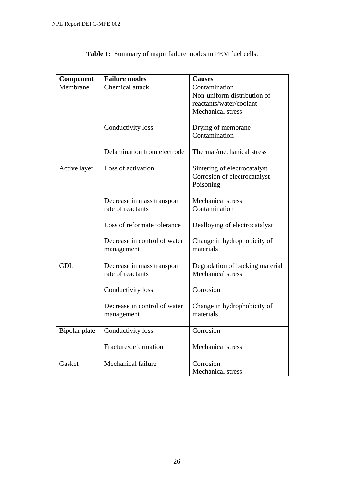| Component     | <b>Failure modes</b>         | <b>Causes</b>                   |
|---------------|------------------------------|---------------------------------|
| Membrane      | Chemical attack              | Contamination                   |
|               |                              | Non-uniform distribution of     |
|               |                              | reactants/water/coolant         |
|               |                              | <b>Mechanical</b> stress        |
|               | Conductivity loss            | Drying of membrane              |
|               |                              | Contamination                   |
|               |                              |                                 |
|               | Delamination from electrode  | Thermal/mechanical stress       |
|               |                              |                                 |
| Active layer  | Loss of activation           | Sintering of electrocatalyst    |
|               |                              | Corrosion of electrocatalyst    |
|               |                              | Poisoning                       |
|               | Decrease in mass transport   | <b>Mechanical stress</b>        |
|               | rate of reactants            | Contamination                   |
|               |                              |                                 |
|               | Loss of reformate tolerance  | Dealloying of electrocatalyst   |
|               |                              |                                 |
|               | Decrease in control of water | Change in hydrophobicity of     |
|               | management                   | materials                       |
|               |                              |                                 |
| <b>GDL</b>    | Decrease in mass transport   | Degradation of backing material |
|               | rate of reactants            | <b>Mechanical stress</b>        |
|               | Conductivity loss            | Corrosion                       |
|               |                              |                                 |
|               | Decrease in control of water | Change in hydrophobicity of     |
|               | management                   | materials                       |
|               |                              |                                 |
| Bipolar plate | Conductivity loss            | Corrosion                       |
|               |                              |                                 |
|               | Fracture/deformation         | Mechanical stress               |
|               | Mechanical failure           | Corrosion                       |
| Gasket        |                              | <b>Mechanical stress</b>        |
|               |                              |                                 |

**Table 1:** Summary of major failure modes in PEM fuel cells.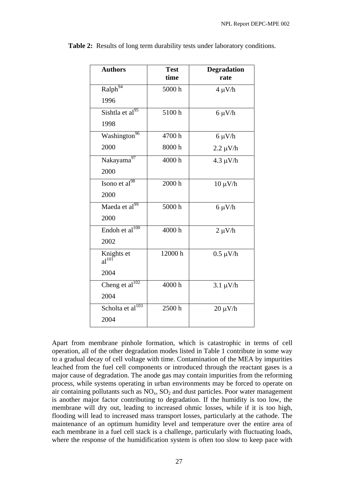| Ralph <sup>94</sup><br>5000 h<br>$4 \mu V/h$<br>1996<br>Sishtla et al $^{95}$<br>5100h<br>$6 \mu V/h$<br>1998<br>Washington <sup>96</sup><br>4700h<br>$6 \mu V/h$<br>2000<br>8000h<br>$2.2 \mu V/h$<br>Nakayama97<br>4000h<br>$4.3 \mu V/h$<br>2000<br>Isono et al $^{98}$<br>2000 h<br>$10 \mu V/h$<br>2000<br>Maeda et al <sup>99</sup><br>5000h<br>$6 \mu V/h$<br>2000<br>Endoh et al <sup>100</sup><br>4000h<br>$2 \mu V/h$<br>2002<br>12000h<br>Knights et<br>$0.5 \mu V/h$<br>$al^{101}$<br>2004<br>Cheng et $al^{102}$<br>4000h<br>$3.1 \mu V/h$<br>2004<br>Scholta et al <sup>103</sup><br>2500h<br>$20 \mu V/h$<br>2004 | <b>Authors</b> | <b>Test</b> | <b>Degradation</b> |
|----------------------------------------------------------------------------------------------------------------------------------------------------------------------------------------------------------------------------------------------------------------------------------------------------------------------------------------------------------------------------------------------------------------------------------------------------------------------------------------------------------------------------------------------------------------------------------------------------------------------------------|----------------|-------------|--------------------|
|                                                                                                                                                                                                                                                                                                                                                                                                                                                                                                                                                                                                                                  |                | time        | rate               |
|                                                                                                                                                                                                                                                                                                                                                                                                                                                                                                                                                                                                                                  |                |             |                    |
|                                                                                                                                                                                                                                                                                                                                                                                                                                                                                                                                                                                                                                  |                |             |                    |
|                                                                                                                                                                                                                                                                                                                                                                                                                                                                                                                                                                                                                                  |                |             |                    |
|                                                                                                                                                                                                                                                                                                                                                                                                                                                                                                                                                                                                                                  |                |             |                    |
|                                                                                                                                                                                                                                                                                                                                                                                                                                                                                                                                                                                                                                  |                |             |                    |
|                                                                                                                                                                                                                                                                                                                                                                                                                                                                                                                                                                                                                                  |                |             |                    |
|                                                                                                                                                                                                                                                                                                                                                                                                                                                                                                                                                                                                                                  |                |             |                    |
|                                                                                                                                                                                                                                                                                                                                                                                                                                                                                                                                                                                                                                  |                |             |                    |
|                                                                                                                                                                                                                                                                                                                                                                                                                                                                                                                                                                                                                                  |                |             |                    |
|                                                                                                                                                                                                                                                                                                                                                                                                                                                                                                                                                                                                                                  |                |             |                    |
|                                                                                                                                                                                                                                                                                                                                                                                                                                                                                                                                                                                                                                  |                |             |                    |
|                                                                                                                                                                                                                                                                                                                                                                                                                                                                                                                                                                                                                                  |                |             |                    |
|                                                                                                                                                                                                                                                                                                                                                                                                                                                                                                                                                                                                                                  |                |             |                    |
|                                                                                                                                                                                                                                                                                                                                                                                                                                                                                                                                                                                                                                  |                |             |                    |
|                                                                                                                                                                                                                                                                                                                                                                                                                                                                                                                                                                                                                                  |                |             |                    |
|                                                                                                                                                                                                                                                                                                                                                                                                                                                                                                                                                                                                                                  |                |             |                    |
|                                                                                                                                                                                                                                                                                                                                                                                                                                                                                                                                                                                                                                  |                |             |                    |
|                                                                                                                                                                                                                                                                                                                                                                                                                                                                                                                                                                                                                                  |                |             |                    |
|                                                                                                                                                                                                                                                                                                                                                                                                                                                                                                                                                                                                                                  |                |             |                    |
|                                                                                                                                                                                                                                                                                                                                                                                                                                                                                                                                                                                                                                  |                |             |                    |

**Table 2:** Results of long term durability tests under laboratory conditions.

Apart from membrane pinhole formation, which is catastrophic in terms of cell operation, all of the other degradation modes listed in Table 1 contribute in some way to a gradual decay of cell voltage with time. Contamination of the MEA by impurities leached from the fuel cell components or introduced through the reactant gases is a major cause of degradation. The anode gas may contain impurities from the reforming process, while systems operating in urban environments may be forced to operate on air containing pollutants such as  $NO<sub>x</sub>$ ,  $SO<sub>2</sub>$  and dust particles. Poor water management is another major factor contributing to degradation. If the humidity is too low, the membrane will dry out, leading to increased ohmic losses, while if it is too high, flooding will lead to increased mass transport losses, particularly at the cathode. The maintenance of an optimum humidity level and temperature over the entire area of each membrane in a fuel cell stack is a challenge, particularly with fluctuating loads, where the response of the humidification system is often too slow to keep pace with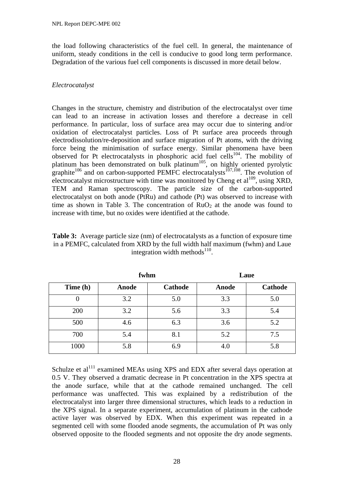the load following characteristics of the fuel cell. In general, the maintenance of uniform, steady conditions in the cell is conducive to good long term performance. Degradation of the various fuel cell components is discussed in more detail below.

# *Electrocatalyst*

Changes in the structure, chemistry and distribution of the electrocatalyst over time can lead to an increase in activation losses and therefore a decrease in cell performance. In particular, loss of surface area may occur due to sintering and/or oxidation of electrocatalyst particles. Loss of Pt surface area proceeds through electrodissolution/re-deposition and surface migration of Pt atoms, with the driving force being the minimisation of surface energy. Similar phenomena have been observed for Pt electrocatalysts in phosphoric acid fuel cells<sup>104</sup>. The mobility of platinum has been demonstrated on bulk platinum<sup>105</sup>, on highly oriented pyrolytic graphite<sup>106</sup> and on carbon-supported PEMFC electrocatalysts<sup>107,108</sup>. The evolution of electrocatalyst microstructure with time was monitored by Cheng et al<sup>109</sup>, using XRD, TEM and Raman spectroscopy. The particle size of the carbon-supported electrocatalyst on both anode (PtRu) and cathode (Pt) was observed to increase with time as shown in Table 3. The concentration of  $RuO<sub>2</sub>$  at the anode was found to increase with time, but no oxides were identified at the cathode.

| <b>Table 3:</b> Average particle size (nm) of electrocatalysts as a function of exposure time |
|-----------------------------------------------------------------------------------------------|
| in a PEMFC, calculated from XRD by the full width half maximum (fwhm) and Laue                |
| integration width methods <sup>110</sup> .                                                    |
|                                                                                               |

|          | fwhm  |                | Laue  |                |  |
|----------|-------|----------------|-------|----------------|--|
| Time (h) | Anode | <b>Cathode</b> | Anode | <b>Cathode</b> |  |
| 0        | 3.2   | 5.0            | 3.3   | 5.0            |  |
| 200      | 3.2   | 5.6            | 3.3   | 5.4            |  |
| 500      | 4.6   | 6.3            | 3.6   | 5.2            |  |
| 700      | 5.4   | 8.1            | 5.2   | 7.5            |  |
| 1000     | 5.8   | 6.9            | 4.0   | 5.8            |  |

Schulze et al<sup>111</sup> examined MEAs using XPS and EDX after several days operation at 0.5 V. They observed a dramatic decrease in Pt concentration in the XPS spectra at the anode surface, while that at the cathode remained unchanged. The cell performance was unaffected. This was explained by a redistribution of the electrocatalyst into larger three dimensional structures, which leads to a reduction in the XPS signal. In a separate experiment, accumulation of platinum in the cathode active layer was observed by EDX. When this experiment was repeated in a segmented cell with some flooded anode segments, the accumulation of Pt was only observed opposite to the flooded segments and not opposite the dry anode segments.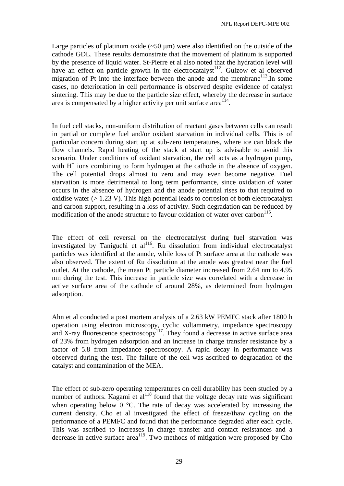Large particles of platinum oxide  $(\sim 50 \,\mu m)$  were also identified on the outside of the cathode GDL. These results demonstrate that the movement of platinum is supported by the presence of liquid water. St-Pierre et al also noted that the hydration level will have an effect on particle growth in the electrocatalyst<sup>112</sup>. Gulzow et al observed migration of Pt into the interface between the anode and the membrane<sup>113</sup>.In some cases, no deterioration in cell performance is observed despite evidence of catalyst sintering. This may be due to the particle size effect, whereby the decrease in surface area is compensated by a higher activity per unit surface area<sup>114</sup>.

In fuel cell stacks, non-uniform distribution of reactant gases between cells can result in partial or complete fuel and/or oxidant starvation in individual cells. This is of particular concern during start up at sub-zero temperatures, where ice can block the flow channels. Rapid heating of the stack at start up is advisable to avoid this scenario. Under conditions of oxidant starvation, the cell acts as a hydrogen pump, with  $H^+$  ions combining to form hydrogen at the cathode in the absence of oxygen. The cell potential drops almost to zero and may even become negative. Fuel starvation is more detrimental to long term performance, since oxidation of water occurs in the absence of hydrogen and the anode potential rises to that required to oxidise water (> 1.23 V). This high potential leads to corrosion of both electrocatalyst and carbon support, resulting in a loss of activity. Such degradation can be reduced by modification of the anode structure to favour oxidation of water over carbon $^{115}$ .

The effect of cell reversal on the electrocatalyst during fuel starvation was investigated by Taniguchi et al<sup>116</sup>. Ru dissolution from individual electrocatalyst particles was identified at the anode, while loss of Pt surface area at the cathode was also observed. The extent of Ru dissolution at the anode was greatest near the fuel outlet. At the cathode, the mean Pt particle diameter increased from 2.64 nm to 4.95 nm during the test. This increase in particle size was correlated with a decrease in active surface area of the cathode of around 28%, as determined from hydrogen adsorption.

Ahn et al conducted a post mortem analysis of a 2.63 kW PEMFC stack after 1800 h operation using electron microscopy, cyclic voltammetry, impedance spectroscopy and X-ray fluorescence spectroscopy<sup>117</sup>. They found a decrease in active surface area of 23% from hydrogen adsorption and an increase in charge transfer resistance by a factor of 5.8 from impedance spectroscopy. A rapid decay in performance was observed during the test. The failure of the cell was ascribed to degradation of the catalyst and contamination of the MEA.

The effect of sub-zero operating temperatures on cell durability has been studied by a number of authors. Kagami et  $al^{118}$  found that the voltage decay rate was significant when operating below 0 °C. The rate of decay was accelerated by increasing the current density. Cho et al investigated the effect of freeze/thaw cycling on the performance of a PEMFC and found that the performance degraded after each cycle. This was ascribed to increases in charge transfer and contact resistances and a decrease in active surface area<sup>119</sup>. Two methods of mitigation were proposed by Cho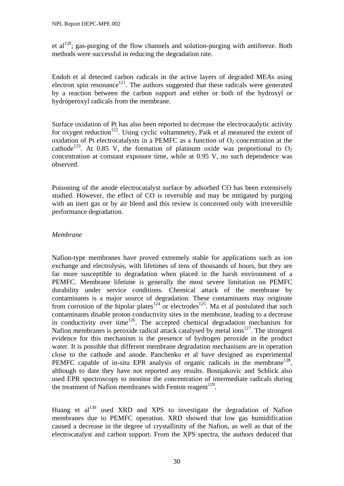et al<sup>120</sup>; gas-purging of the flow channels and solution-purging with antifreeze. Both methods were successful in reducing the degradation rate.

Endoh et al detected carbon radicals in the active layers of degraded MEAs using electron spin resonance<sup>121</sup>. The authors suggested that these radicals were generated by a reaction between the carbon support and either or both of the hydroxyl or hydroperoxyl radicals from the membrane.

Surface oxidation of Pt has also been reported to decrease the electrocatalytic activity for oxygen reduction<sup>122</sup>. Using cyclic voltammetry, Paik et al measured the extent of oxidation of Pt electrocatalysts in a PEMFC as a function of  $O<sub>2</sub>$  concentration at the cathode<sup>123</sup>. At 0.85 V, the formation of platinum oxide was proportional to  $O_2$ concentration at constant exposure time, while at 0.95 V, no such dependence was observed.

Poisoning of the anode electrocatalyst surface by adsorbed CO has been extensively studied. However, the effect of CO is reversible and may be mitigated by purging with an inert gas or by air bleed and this review is concerned only with irreversible performance degradation.

#### *Membrane*

Nafion-type membranes have proved extremely stable for applications such as ion exchange and electrolysis, with lifetimes of tens of thousands of hours, but they are far more susceptible to degradation when placed in the harsh environment of a PEMFC. Membrane lifetime is generally the most severe limitation on PEMFC durability under service conditions. Chemical attack of the membrane by contaminants is a major source of degradation. These contaminants may originate from corrosion of the bipolar plates<sup>124</sup> or electrodes<sup>125</sup>. Ma et al postulated that such contaminants disable proton conductivity sites in the membrane, leading to a decrease in conductivity over time<sup>126</sup>. The accepted chemical degradation mechanism for Nafion membranes is peroxide radical attack catalysed by metal ions<sup>127</sup>. The strongest evidence for this mechanism is the presence of hydrogen peroxide in the product water. It is possible that different membrane degradation mechanisms are in operation close to the cathode and anode. Panchenko et al have designed an experimental PEMFC capable of in-situ EPR analysis of organic radicals in the membrane<sup>128</sup>, although to date they have not reported any results. Bosnjakovic and Schlick also used EPR spectroscopy to monitor the concentration of intermediate radicals during the treatment of Nafion membranes with Fenton reagent<sup>129</sup>.

Huang et al<sup>130</sup> used XRD and XPS to investigate the degradation of Nafion membranes due to PEMFC operation. XRD showed that low gas humidification caused a decrease in the degree of crystallinity of the Nafion, as well as that of the electrocatalyst and carbon support. From the XPS spectra, the authors deduced that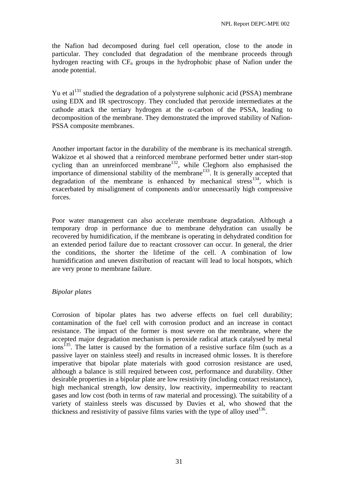the Nafion had decomposed during fuel cell operation, close to the anode in particular. They concluded that degradation of the membrane proceeds through hydrogen reacting with  $CF_n$  groups in the hydrophobic phase of Nafion under the anode potential.

Yu et al<sup>131</sup> studied the degradation of a polystyrene sulphonic acid (PSSA) membrane using EDX and IR spectroscopy. They concluded that peroxide intermediates at the cathode attack the tertiary hydrogen at the  $\alpha$ -carbon of the PSSA, leading to decomposition of the membrane. They demonstrated the improved stability of Nafion-PSSA composite membranes.

Another important factor in the durability of the membrane is its mechanical strength. Wakizoe et al showed that a reinforced membrane performed better under start-stop cycling than an unreinforced membrane<sup>132</sup>, while Cleghorn also emphasised the importance of dimensional stability of the membrane<sup>133</sup>. It is generally accepted that degradation of the membrane is enhanced by mechanical stress<sup>134</sup>, which is exacerbated by misalignment of components and/or unnecessarily high compressive forces.

Poor water management can also accelerate membrane degradation. Although a temporary drop in performance due to membrane dehydration can usually be recovered by humidification, if the membrane is operating in dehydrated condition for an extended period failure due to reactant crossover can occur. In general, the drier the conditions, the shorter the lifetime of the cell. A combination of low humidification and uneven distribution of reactant will lead to local hotspots, which are very prone to membrane failure.

#### *Bipolar plates*

Corrosion of bipolar plates has two adverse effects on fuel cell durability; contamination of the fuel cell with corrosion product and an increase in contact resistance. The impact of the former is most severe on the membrane, where the accepted major degradation mechanism is peroxide radical attack catalysed by metal  $\arccos$ <sup>135</sup>. The latter is caused by the formation of a resistive surface film (such as a passive layer on stainless steel) and results in increased ohmic losses. It is therefore imperative that bipolar plate materials with good corrosion resistance are used, although a balance is still required between cost, performance and durability. Other desirable properties in a bipolar plate are low resistivity (including contact resistance), high mechanical strength, low density, low reactivity, impermeability to reactant gases and low cost (both in terms of raw material and processing). The suitability of a variety of stainless steels was discussed by Davies et al, who showed that the thickness and resistivity of passive films varies with the type of alloy used  $136$ .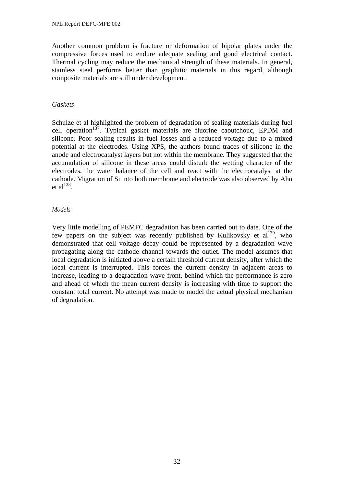Another common problem is fracture or deformation of bipolar plates under the compressive forces used to endure adequate sealing and good electrical contact. Thermal cycling may reduce the mechanical strength of these materials. In general, stainless steel performs better than graphitic materials in this regard, although composite materials are still under development.

#### *Gaskets*

Schulze et al highlighted the problem of degradation of sealing materials during fuel cell operation<sup>137</sup>. Typical gasket materials are fluorine caoutchouc, EPDM and silicone. Poor sealing results in fuel losses and a reduced voltage due to a mixed potential at the electrodes. Using XPS, the authors found traces of silicone in the anode and electrocatalyst layers but not within the membrane. They suggested that the accumulation of silicone in these areas could disturb the wetting character of the electrodes, the water balance of the cell and react with the electrocatalyst at the cathode. Migration of Si into both membrane and electrode was also observed by Ahn et al $^{138}$ .

#### *Models*

Very little modelling of PEMFC degradation has been carried out to date. One of the few papers on the subject was recently published by Kulikovsky et  $al^{139}$ , who demonstrated that cell voltage decay could be represented by a degradation wave propagating along the cathode channel towards the outlet. The model assumes that local degradation is initiated above a certain threshold current density, after which the local current is interrupted. This forces the current density in adjacent areas to increase, leading to a degradation wave front, behind which the performance is zero and ahead of which the mean current density is increasing with time to support the constant total current. No attempt was made to model the actual physical mechanism of degradation.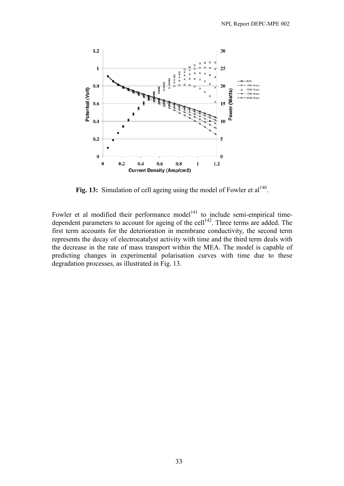

Fig. 13: Simulation of cell ageing using the model of Fowler et al<sup>140</sup>.

Fowler et al modified their performance model<sup>141</sup> to include semi-empirical timedependent parameters to account for ageing of the cell<sup>142</sup>. Three terms are added. The first term accounts for the deterioration in membrane conductivity, the second term represents the decay of electrocatalyst activity with time and the third term deals with the decrease in the rate of mass transport within the MEA. The model is capable of predicting changes in experimental polarisation curves with time due to these degradation processes, as illustrated in Fig. 13.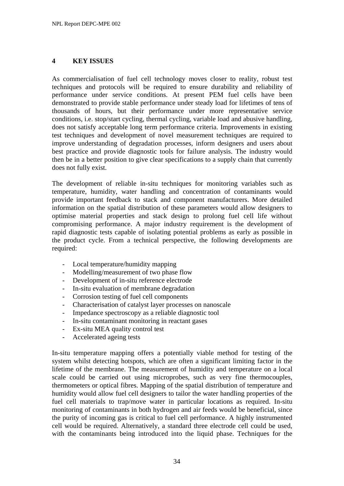# **4 KEY ISSUES**

As commercialisation of fuel cell technology moves closer to reality, robust test techniques and protocols will be required to ensure durability and reliability of performance under service conditions. At present PEM fuel cells have been demonstrated to provide stable performance under steady load for lifetimes of tens of thousands of hours, but their performance under more representative service conditions, i.e. stop/start cycling, thermal cycling, variable load and abusive handling, does not satisfy acceptable long term performance criteria. Improvements in existing test techniques and development of novel measurement techniques are required to improve understanding of degradation processes, inform designers and users about best practice and provide diagnostic tools for failure analysis. The industry would then be in a better position to give clear specifications to a supply chain that currently does not fully exist.

The development of reliable in-situ techniques for monitoring variables such as temperature, humidity, water handling and concentration of contaminants would provide important feedback to stack and component manufacturers. More detailed information on the spatial distribution of these parameters would allow designers to optimise material properties and stack design to prolong fuel cell life without compromising performance. A major industry requirement is the development of rapid diagnostic tests capable of isolating potential problems as early as possible in the product cycle. From a technical perspective, the following developments are required:

- Local temperature/humidity mapping
- Modelling/measurement of two phase flow
- Development of in-situ reference electrode
- In-situ evaluation of membrane degradation
- Corrosion testing of fuel cell components
- Characterisation of catalyst layer processes on nanoscale
- Impedance spectroscopy as a reliable diagnostic tool
- In-situ contaminant monitoring in reactant gases
- Ex-situ MEA quality control test
- Accelerated ageing tests

In-situ temperature mapping offers a potentially viable method for testing of the system whilst detecting hotspots, which are often a significant limiting factor in the lifetime of the membrane. The measurement of humidity and temperature on a local scale could be carried out using microprobes, such as very fine thermocouples, thermometers or optical fibres. Mapping of the spatial distribution of temperature and humidity would allow fuel cell designers to tailor the water handling properties of the fuel cell materials to trap/move water in particular locations as required. In-situ monitoring of contaminants in both hydrogen and air feeds would be beneficial, since the purity of incoming gas is critical to fuel cell performance. A highly instrumented cell would be required. Alternatively, a standard three electrode cell could be used, with the contaminants being introduced into the liquid phase. Techniques for the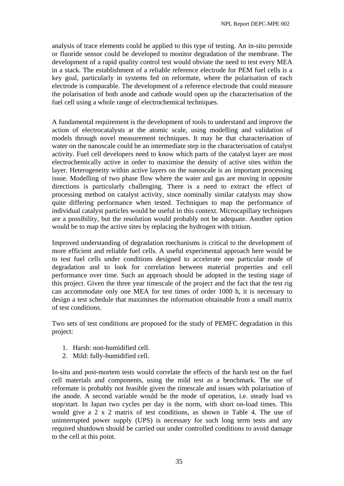analysis of trace elements could be applied to this type of testing. An in-situ peroxide or fluoride sensor could be developed to monitor degradation of the membrane. The development of a rapid quality control test would obviate the need to test every MEA in a stack. The establishment of a reliable reference electrode for PEM fuel cells is a key goal, particularly in systems fed on reformate, where the polarisation of each electrode is comparable. The development of a reference electrode that could measure the polarisation of both anode and cathode would open up the characterisation of the fuel cell using a whole range of electrochemical techniques.

A fundamental requirement is the development of tools to understand and improve the action of electrocatalysts at the atomic scale, using modelling and validation of models through novel measurement techniques. It may be that characterisation of water on the nanoscale could be an intermediate step in the characterisation of catalyst activity. Fuel cell developers need to know which parts of the catalyst layer are most electrochemically active in order to maximise the density of active sites within the layer. Heterogeneity within active layers on the nanoscale is an important processing issue. Modelling of two phase flow where the water and gas are moving in opposite directions is particularly challenging. There is a need to extract the effect of processing method on catalyst activity, since nominally similar catalysts may show quite differing performance when tested. Techniques to map the performance of individual catalyst particles would be useful in this context. Microcapillary techniques are a possibility, but the resolution would probably not be adequate. Another option would be to map the active sites by replacing the hydrogen with tritium.

Improved understanding of degradation mechanisms is critical to the development of more efficient and reliable fuel cells. A useful experimental approach here would be to test fuel cells under conditions designed to accelerate one particular mode of degradation and to look for correlation between material properties and cell performance over time. Such an approach should be adopted in the testing stage of this project. Given the three year timescale of the project and the fact that the test rig can accommodate only one MEA for test times of order 1000 h, it is necessary to design a test schedule that maximises the information obtainable from a small matrix of test conditions.

Two sets of test conditions are proposed for the study of PEMFC degradation in this project:

- 1. Harsh: non-humidified cell.
- 2. Mild: fully-humidified cell.

In-situ and post-mortem tests would correlate the effects of the harsh test on the fuel cell materials and components, using the mild test as a benchmark. The use of reformate is probably not feasible given the timescale and issues with polarisation of the anode. A second variable would be the mode of operation, i.e. steady load vs stop/start. In Japan two cycles per day is the norm, with short on-load times. This would give a 2 x 2 matrix of test conditions, as shown in Table 4. The use of uninterrupted power supply (UPS) is necessary for such long term tests and any required shutdown should be carried out under controlled conditions to avoid damage to the cell at this point.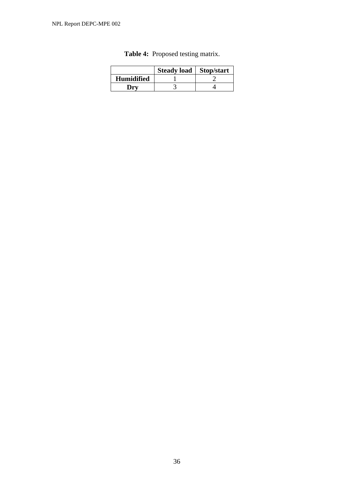|                   | Steady load   Stop/start |  |
|-------------------|--------------------------|--|
| <b>Humidified</b> |                          |  |
| Drv               |                          |  |

|  | <b>Table 4:</b> Proposed testing matrix. |
|--|------------------------------------------|
|--|------------------------------------------|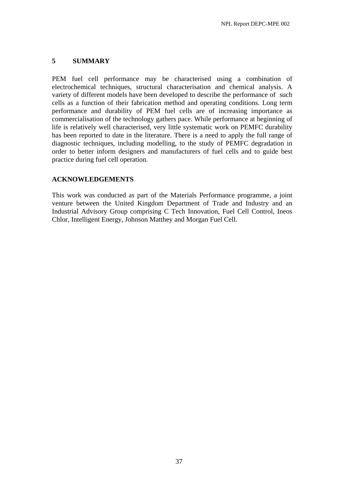#### **5 SUMMARY**

PEM fuel cell performance may be characterised using a combination of electrochemical techniques, structural characterisation and chemical analysis. A variety of different models have been developed to describe the performance of such cells as a function of their fabrication method and operating conditions. Long term performance and durability of PEM fuel cells are of increasing importance as commercialisation of the technology gathers pace. While performance at beginning of life is relatively well characterised, very little systematic work on PEMFC durability has been reported to date in the literature. There is a need to apply the full range of diagnostic techniques, including modelling, to the study of PEMFC degradation in order to better inform designers and manufacturers of fuel cells and to guide best practice during fuel cell operation.

# **ACKNOWLEDGEMENTS**

This work was conducted as part of the Materials Performance programme, a joint venture between the United Kingdom Department of Trade and Industry and an Industrial Advisory Group comprising C Tech Innovation, Fuel Cell Control, Ineos Chlor, Intelligent Energy, Johnson Matthey and Morgan Fuel Cell.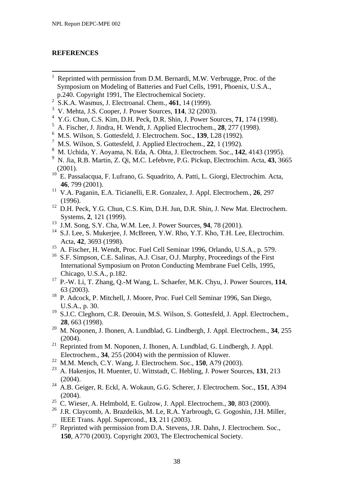# **REFERENCES**

- <sup>1</sup> Reprinted with permission from D.M. Bernardi, M.W. Verbrugge, Proc. of the Symposium on Modeling of Batteries and Fuel Cells, 1991, Phoenix, U.S.A., p.240. Copyright 1991, The Electrochemical Society.
- 2 S.K.A. Wasmus, J. Electroanal. Chem., **461**, 14 (1999).
- 3 V. Mehta, J.S. Cooper, J. Power Sources, **114**, 32 (2003).
- 4 Y.G. Chun, C.S. Kim, D.H. Peck, D.R. Shin, J. Power Sources, **71**, 174 (1998).
- 5 A. Fischer, J. Jindra, H. Wendt, J. Applied Electrochem., **28**, 277 (1998).
- 6 M.S. Wilson, S. Gottesfeld, J. Electrochem. Soc., **139**, L28 (1992).
- 7 M.S. Wilson, S. Gottesfeld, J. Applied Electrochem., **22**, 1 (1992).
- 8 M. Uchida, Y. Aoyama, N. Eda, A. Ohta, J. Electrochem. Soc., **142**, 4143 (1995).
- 9 N. Jia, R.B. Martin, Z. Qi, M.C. Lefebvre, P.G. Pickup, Electrochim. Acta, **43**, 3665  $(2001).$
- 10 E. Passalacqua, F. Lufrano, G. Squadrito, A. Patti, L. Giorgi, Electrochim. Acta, **46**, 799 (2001).
- 11 V.A. Paganin, E.A. Ticianelli, E.R. Gonzalez, J. Appl. Electrochem., **26**, 297 (1996).
- $12$  D.H. Peck, Y.G. Chun, C.S. Kim, D.H. Jun, D.R. Shin, J. New Mat. Electrochem. Systems, **2**, 121 (1999).
- 13 J.M. Song, S.Y. Cha, W.M. Lee, J. Power Sources, **94**, 78 (2001).
- <sup>14</sup> S.J. Lee, S. Mukerjee, J. McBreen, Y.W. Rho, Y.T. Kho, T.H. Lee, Electrochim. Acta, **42**, 3693 (1998).
- <sup>15</sup> A. Fischer, H. Wendt, Proc. Fuel Cell Seminar 1996, Orlando, U.S.A., p. 579.
- <sup>16</sup> S.F. Simpson, C.E. Salinas, A.J. Cisar, O.J. Murphy, Proceedings of the First International Symposium on Proton Conducting Membrane Fuel Cells, 1995, Chicago, U.S.A., p.182.
- 17 P.-W. Li, T. Zhang, Q.-M Wang, L. Schaefer, M.K. Chyu, J. Power Sources, **114**, 63 (2003).
- <sup>18</sup> P. Adcock, P. Mitchell, J. Moore, Proc. Fuel Cell Seminar 1996, San Diego, U.S.A., p. 30.
- <sup>19</sup> S.J.C. Cleghorn, C.R. Derouin, M.S. Wilson, S. Gottesfeld, J. Appl. Electrochem., **28**, 663 (1998).
- 20 M. Noponen, J. Ihonen, A. Lundblad, G. Lindbergh, J. Appl. Electrochem., **34**, 255  $(2004)$ .
- $21$  Reprinted from M. Noponen, J. Ihonen, A. Lundblad, G. Lindbergh, J. Appl. Electrochem., **34**, 255 (2004) with the permission of Kluwer.
- 22 M.M. Mench, C.Y. Wang, J. Electrochem. Soc., **150**, A79 (2003).
- 23 A. Hakenjos, H. Muenter, U. Wittstadt, C. Hebling, J. Power Sources, **131**, 213 (2004).
- 24 A.B. Geiger, R. Eckl, A. Wokaun, G.G. Scherer, J. Electrochem. Soc., **151**, A394 (2004).
- 25 C. Wieser, A. Helmbold, E. Gulzow, J. Appl. Electrochem., **30**, 803 (2000).
- 26 J.R. Claycomb, A. Brazdeikis, M. Le, R.A. Yarbrough, G. Gogoshin, J.H. Miller, IEEE Trans. Appl. Supercond., **13**, 211 (2003).
- <sup>27</sup> Reprinted with permission from D.A. Stevens, J.R. Dahn, J. Electrochem. Soc., **150**, A770 (2003). Copyright 2003, The Electrochemical Society.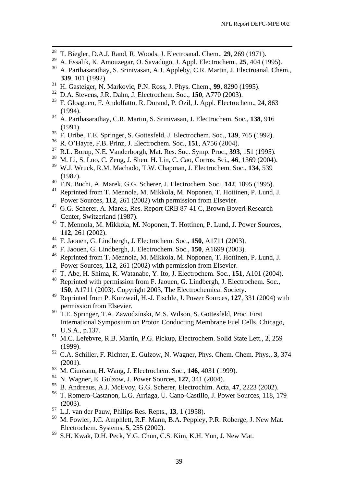- <sup>28</sup> T. Biegler, D.A.J. Rand, R. Woods, J. Electroanal. Chem., **29**, 269 (1971).
- <sup>29</sup> A. Essalik, K. Amouzegar, O. Savadogo, J. Appl. Electrochem., **25**, 404 (1995).
- 30 A. Parthasarathay, S. Srinivasan, A.J. Appleby, C.R. Martin, J. Electroanal. Chem., **339**, 101 (1992).
- 31 H. Gasteiger, N. Markovic, P.N. Ross, J. Phys. Chem., **99**, 8290 (1995).
- <sup>32</sup> D.A. Stevens, J.R. Dahn, J. Electrochem. Soc., **150**, A770 (2003).
- 33 F. Gloaguen, F. Andolfatto, R. Durand, P. Ozil, J. Appl. Electrochem., 24, 863  $(1994)$ .<br> $34 \, A \, Part$
- 34 A. Parthasarathay, C.R. Martin, S. Srinivasan, J. Electrochem. Soc., **138**, 916  $(1991).$ <br> $35 E \text{ Like}$
- 35 F. Uribe, T.E. Springer, S. Gottesfeld, J. Electrochem. Soc., **139**, 765 (1992).
- 36 R. O'Hayre, F.B. Prinz, J. Electrochem. Soc., **151**, A756 (2004).
- <sup>37</sup> R.L. Borup, N.E. Vanderborgh, Mat. Res. Soc. Symp. Proc., **393**, 151 (1995).<br><sup>38</sup> M. L. S. Lue G. Zong, J. Shan, H. Lin G. Gao, Corros, Soi. 46, 1360 (2004).
- 38 M. Li, S. Luo, C. Zeng, J. Shen, H. Lin, C. Cao, Corros. Sci., **46**, 1369 (2004).
- 39 W.J. Wruck, R.M. Machado, T.W. Chapman, J. Electrochem. Soc., **134**, 539 (1987).
- 40 F.N. Buchi, A. Marek, G.G. Scherer, J. Electrochem. Soc., **142**, 1895 (1995).
- 41 Reprinted from T. Mennola, M. Mikkola, M. Noponen, T. Hottinen, P. Lund, J. Power Sources, **112**, 261 (2002) with permission from Elsevier.
- <sup>42</sup> G.G. Scherer, A. Marek, Res. Report CRB 87-41 C, Brown Boveri Research Center, Switzerland (1987).
- 43 T. Mennola, M. Mikkola, M. Noponen, T. Hottinen, P. Lund, J. Power Sources, **112**, 261 (2002).
- 44 F. Jaouen, G. Lindbergh, J. Electrochem. Soc., **150**, A1711 (2003).
- 45 F. Jaouen, G. Lindbergh, J. Electrochem. Soc., **150**, A1699 (2003).
- 46 Reprinted from T. Mennola, M. Mikkola, M. Noponen, T. Hottinen, P. Lund, J. Power Sources, **112**, 261 (2002) with permission from Elsevier.
- 47 T. Abe, H. Shima, K. Watanabe, Y. Ito, J. Electrochem. Soc., **151**, A101 (2004).
- <sup>48</sup> Reprinted with permission from F. Jaouen, G. Lindbergh, J. Electrochem. Soc., **150**, A1711 (2003). Copyright 2003, The Electrochemical Society.
- 49 Reprinted from P. Kurzweil, H.-J. Fischle, J. Power Sources, **127**, 331 (2004) with permission from Elsevier.
- 50 T.E. Springer, T.A. Zawodzinski, M.S. Wilson, S. Gottesfeld, Proc. First International Symposium on Proton Conducting Membrane Fuel Cells, Chicago, U.S.A., p.137.
- 51 M.C. Lefebvre, R.B. Martin, P.G. Pickup, Electrochem. Solid State Lett., **2**, 259 (1999).
- 52 C.A. Schiller, F. Richter, E. Gulzow, N. Wagner, Phys. Chem. Chem. Phys., **3**, 374 (2001).
- 53 M. Ciureanu, H. Wang, J. Electrochem. Soc., **146**, 4031 (1999).
- <sup>54</sup> N. Wagner, E. Gulzow, J. Power Sources, 127, 341 (2004).<br><sup>55</sup> B. Andreaus, A. J. McEvov, G.G. Scherer, Electrochim, Act
- 55 B. Andreaus, A.J. McEvoy, G.G. Scherer, Electrochim. Acta, **47**, 2223 (2002).
- 56 T. Romero-Castanon, L.G. Arriaga, U. Cano-Castillo, J. Power Sources, 118, 179 (2003).
- 57 L.J. van der Pauw, Philips Res. Repts., **13**, 1 (1958).
- 58 M. Fowler, J.C. Amphlett, R.F. Mann, B.A. Peppley, P.R. Roberge, J. New Mat. Electrochem. Systems, **5**, 255 (2002).<br><sup>59</sup> S H Kwek D H Book Y G Chun C
- S.H. Kwak, D.H. Peck, Y.G. Chun, C.S. Kim, K.H. Yun, J. New Mat.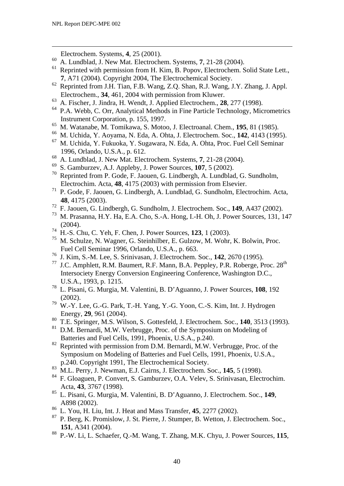1

Electrochem. Systems, **4**, 25 (2001).

- <sup>60</sup> A. Lundblad, J. New Mat. Electrochem. Systems, **7**, 21-28 (2004).
- Reprinted with permission from H. Kim, B. Popov, Electrochem. Solid State Lett., **7**, A71 (2004). Copyright 2004, The Electrochemical Society.
- 62 Reprinted from J.H. Tian, F.B. Wang, Z.Q. Shan, R.J. Wang, J.Y. Zhang, J. Appl. Electrochem., **34**, 461, 2004 with permission from Kluwer.
- 63 A. Fischer, J. Jindra, H. Wendt, J. Applied Electrochem., **28**, 277 (1998).
- 64 P.A. Webb, C. Orr, Analytical Methods in Fine Particle Technology, Micrometrics Instrument Corporation, p. 155, 1997.
- <sup>65</sup> M. Watanabe, M. Tomikawa, S. Motoo, J. Electroanal. Chem., **195**, 81 (1985).
- 66 M. Uchida, Y. Aoyama, N. Eda, A. Ohta, J. Electrochem. Soc., **142**, 4143 (1995).
- 67 M. Uchida, Y. Fukuoka, Y. Sugawara, N. Eda, A. Ohta, Proc. Fuel Cell Seminar 1996, Orlando, U.S.A., p. 612.
- <sup>68</sup> A. Lundblad, J. New Mat. Electrochem. Systems, 7, 21-28 (2004).
- $^{69}$  S. Gamburzev, A.J. Appleby, J. Power Sources, 107, 5 (2002).<br><sup>70</sup> Poprinted from B. Godo E. Jaquan, G. Lindborgh, A. Lundblac
- Reprinted from P. Gode, F. Jaouen, G. Lindbergh, A. Lundblad, G. Sundholm, Electrochim. Acta, **48**, 4175 (2003) with permission from Elsevier.
- 71 P. Gode, F. Jaouen, G. Lindbergh, A. Lundblad, G. Sundholm, Electrochim. Acta, **48**, 4175 (2003).
- <sup>72</sup> F. Jaouen, G. Lindbergh, G. Sundholm, J. Electrochem. Soc., **149**, A437 (2002).
- 73 M. Prasanna, H.Y. Ha, E.A. Cho, S.-A. Hong, I.-H. Oh, J. Power Sources, 131, 147 (2004).
- <sup>74</sup> H.-S. Chu, C. Yeh, F. Chen, J. Power Sources, 123, 1 (2003).<br><sup>75</sup> M. Schulze, N. Wagner, G. Steinbilber, E. Gulzow, M. Wohr.
- M. Schulze, N. Wagner, G. Steinhilber, E. Gulzow, M. Wohr, K. Bolwin, Proc. Fuel Cell Seminar 1996, Orlando, U.S.A., p. 663.
- 76 J. Kim, S.-M. Lee, S. Srinivasan, J. Electrochem. Soc., **142**, 2670 (1995).
- <sup>77</sup> J.C. Amphlett, R.M. Baumert, R.F. Mann, B.A. Peppley, P.R. Roberge, Proc.  $28<sup>th</sup>$  Intersociety Energy Conversion Engineering Conference, Washington D.C., U.S.A., 1993, p. 1215.
- 78 L. Pisani, G. Murgia, M. Valentini, B. D'Aguanno, J. Power Sources, **108**, 192 (2002).
- 79 W.-Y. Lee, G.-G. Park, T.-H. Yang, Y.-G. Yoon, C.-S. Kim, Int. J. Hydrogen Energy, **29**, 961 (2004).
- <sup>80</sup> T.E. Springer, M.S. Wilson, S. Gottesfeld, J. Electrochem. Soc., **140**, 3513 (1993).
- D.M. Bernardi, M.W. Verbrugge, Proc. of the Symposium on Modeling of Batteries and Fuel Cells, 1991, Phoenix, U.S.A., p.240.
- <sup>82</sup> Reprinted with permission from D.M. Bernardi, M.W. Verbrugge, Proc. of the Symposium on Modeling of Batteries and Fuel Cells, 1991, Phoenix, U.S.A., p.240. Copyright 1991, The Electrochemical Society.
- 83 M.L. Perry, J. Newman, E.J. Cairns, J. Electrochem. Soc., **145**, 5 (1998).
- 84 F. Gloaguen, P. Convert, S. Gamburzev, O.A. Velev, S. Srinivasan, Electrochim. Acta, **43**, 3767 (1998).
- 85 L. Pisani, G. Murgia, M. Valentini, B. D'Aguanno, J. Electrochem. Soc., **149**, A898 (2002).
- $\frac{86}{5}$  L. You, H. Liu, Int. J. Heat and Mass Transfer, **45**, 2277 (2002).
- 87 P. Berg, K. Promislow, J. St. Pierre, J. Stumper, B. Wetton, J. Electrochem. Soc., **151**, A341 (2004).
- 88 P.-W. Li, L. Schaefer, Q.-M. Wang, T. Zhang, M.K. Chyu, J. Power Sources, **115**,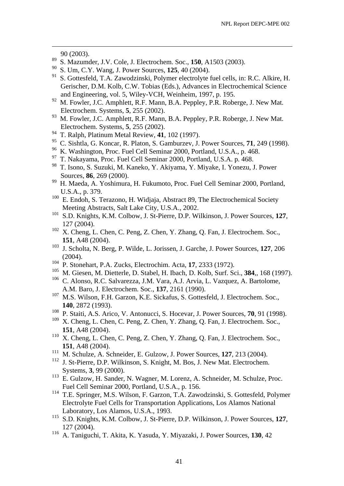90 (2003).

1

- 89 S. Mazumder, J.V. Cole, J. Electrochem. Soc., **150**, A1503 (2003).
- 90 S. Um, C.Y. Wang, J. Power Sources, **125**, 40 (2004).
- 91 S. Gottesfeld, T.A. Zawodzinski, Polymer electrolyte fuel cells, in: R.C. Alkire, H. Gerischer, D.M. Kolb, C.W. Tobias (Eds.), Advances in Electrochemical Science and Engineering, vol. 5, Wiley-VCH, Weinheim, 1997, p. 195.<br><sup>92</sup> M. Equilar, J.C. Amphlett, B.E. Mann, B.A. Bappley, B.B. Bobs
- M. Fowler, J.C. Amphlett, R.F. Mann, B.A. Peppley, P.R. Roberge, J. New Mat. Electrochem. Systems, **5**, 255 (2002).
- M. Fowler, J.C. Amphlett, R.F. Mann, B.A. Peppley, P.R. Roberge, J. New Mat. Electrochem. Systems, **5**, 255 (2002).
- 94 T. Ralph, Platinum Metal Review, **41**, 102 (1997).
- 95 C. Sishtla, G. Koncar, R. Platon, S. Gamburzev, J. Power Sources, **71**, 249 (1998).
- <sup>96</sup> K. Washington, Proc. Fuel Cell Seminar 2000, Portland, U.S.A., p. 468.
- 97 T. Nakayama, Proc. Fuel Cell Seminar 2000, Portland, U.S.A. p. 468.
- 98 T. Isono, S. Suzuki, M. Kaneko, Y. Akiyama, Y. Miyake, I. Yonezu, J. Power Sources, **86**, 269 (2000).
- 99 H. Maeda, A. Yoshimura, H. Fukumoto, Proc. Fuel Cell Seminar 2000, Portland, U.S.A., p. 379.
- <sup>100</sup> E. Endoh, S. Terazono, H. Widjaja, Abstract 89, The Electrochemical Society Meeting Abstracts, Salt Lake City, U.S.A., 2002.
- 101 S.D. Knights, K.M. Colbow, J. St-Pierre, D.P. Wilkinson, J. Power Sources, **127**,  $127 (2004).$
- X. Cheng, L. Chen, C. Peng, Z. Chen, Y. Zhang, Q. Fan, J. Electrochem. Soc., **151**, A48 (2004).
- 103 J. Scholta, N. Berg, P. Wilde, L. Jorissen, J. Garche, J. Power Sources, **127**, 206  $(2004)$ .
- 104 P. Stonehart, P.A. Zucks, Electrochim. Acta, **17**, 2333 (1972).
- 105 M. Giesen, M. Dietterle, D. Stabel, H. Ibach, D. Kolb, Surf. Sci., **384**,, 168 (1997).
- 106 C. Alonso, R.C. Salvarezza, J.M. Vara, A.J. Arvia, L. Vazquez, A. Bartolome, A.M. Baro, J. Electrochem. Soc., **137**, 2161 (1990).
- M.S. Wilson, F.H. Garzon, K.E. Sickafus, S. Gottesfeld, J. Electrochem. Soc., **140**, 2872 (1993).
- <sup>108</sup> P. Staiti, A.S. Arico, V. Antonucci, S. Hocevar, J. Power Sources, **70**, 91 (1998).
- X. Cheng, L. Chen, C. Peng, Z. Chen, Y. Zhang, Q. Fan, J. Electrochem. Soc., **151**, A48 (2004).
- X. Cheng, L. Chen, C. Peng, Z. Chen, Y. Zhang, O. Fan, J. Electrochem. Soc., **151**, A48 (2004).
- 111 M. Schulze, A. Schneider, E. Gulzow, J. Power Sources, **127**, 213 (2004).
- <sup>112</sup> J. St-Pierre, D.P. Wilkinson, S. Knight, M. Bos, J. New Mat. Electrochem. Systems, **3**, 99 (2000).
- <sup>113</sup> E. Gulzow, H. Sander, N. Wagner, M. Lorenz, A. Schneider, M. Schulze, Proc. Fuel Cell Seminar 2000, Portland, U.S.A., p. 156.
- 114 T.E. Springer, M.S. Wilson, F. Garzon, T.A. Zawodzinski, S. Gottesfeld, Polymer Electrolyte Fuel Cells for Transportation Applications, Los Alamos National Laboratory, Los Alamos, U.S.A., 1993.
- 115 S.D. Knights, K.M. Colbow, J. St-Pierre, D.P. Wilkinson, J. Power Sources, **127**, 127 (2004).
- 116 A. Taniguchi, T. Akita, K. Yasuda, Y. Miyazaki, J. Power Sources, **130**, 42